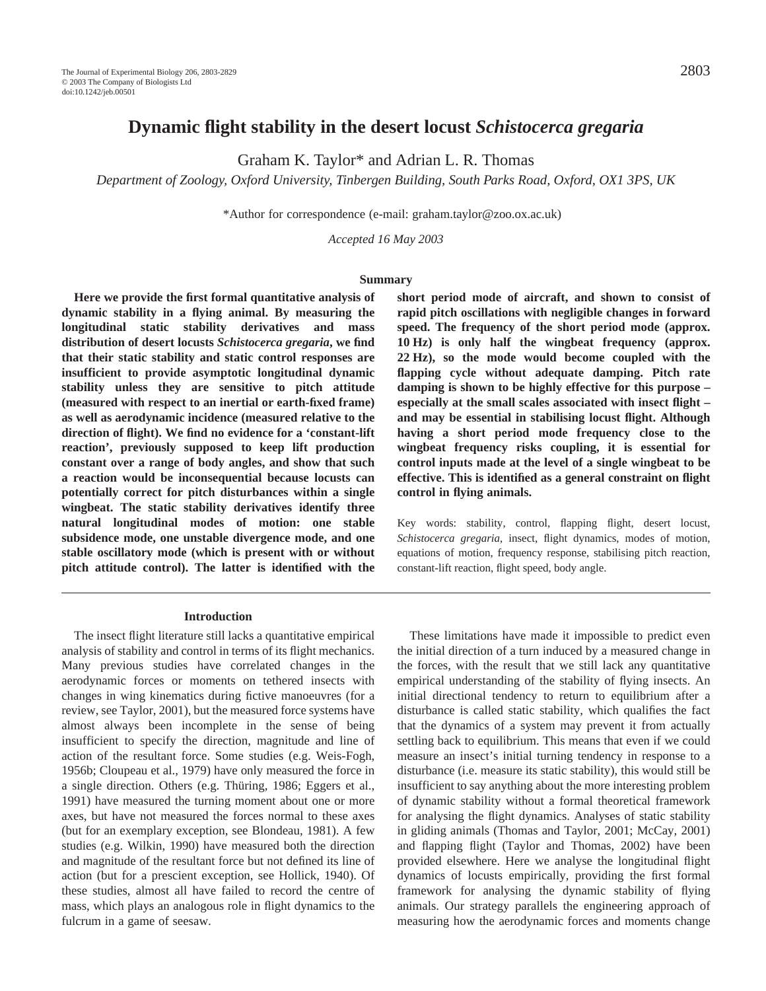Graham K. Taylor\* and Adrian L. R. Thomas

*Department of Zoology, Oxford University, Tinbergen Building, South Parks Road, Oxford, OX1 3PS, UK*

\*Author for correspondence (e-mail: graham.taylor@zoo.ox.ac.uk)

*Accepted 16 May 2003*

#### **Summary**

**Here we provide the first formal quantitative analysis of dynamic stability in a flying animal. By measuring the longitudinal static stability derivatives and mass distribution of desert locusts** *Schistocerca gregaria***, we find that their static stability and static control responses are insufficient to provide asymptotic longitudinal dynamic stability unless they are sensitive to pitch attitude (measured with respect to an inertial or earth-fixed frame) as well as aerodynamic incidence (measured relative to the direction of flight). We find no evidence for a 'constant-lift reaction', previously supposed to keep lift production constant over a range of body angles, and show that such a reaction would be inconsequential because locusts can potentially correct for pitch disturbances within a single wingbeat. The static stability derivatives identify three natural longitudinal modes of motion: one stable subsidence mode, one unstable divergence mode, and one stable oscillatory mode (which is present with or without pitch attitude control). The latter is identified with the**

### **Introduction**

The insect flight literature still lacks a quantitative empirical analysis of stability and control in terms of its flight mechanics. Many previous studies have correlated changes in the aerodynamic forces or moments on tethered insects with changes in wing kinematics during fictive manoeuvres (for a review, see Taylor, 2001), but the measured force systems have almost always been incomplete in the sense of being insufficient to specify the direction, magnitude and line of action of the resultant force. Some studies (e.g. Weis-Fogh, 1956b; Cloupeau et al., 1979) have only measured the force in a single direction. Others (e.g. Thüring, 1986; Eggers et al., 1991) have measured the turning moment about one or more axes, but have not measured the forces normal to these axes (but for an exemplary exception, see Blondeau, 1981). A few studies (e.g. Wilkin, 1990) have measured both the direction and magnitude of the resultant force but not defined its line of action (but for a prescient exception, see Hollick, 1940). Of these studies, almost all have failed to record the centre of mass, which plays an analogous role in flight dynamics to the fulcrum in a game of seesaw.

**short period mode of aircraft, and shown to consist of rapid pitch oscillations with negligible changes in forward speed. The frequency of the short period mode (approx.** 10 Hz) is only half the wingbeat frequency (approx. **22·Hz), so the mode would become coupled with the flapping cycle without adequate damping. Pitch rate damping is shown to be highly effective for this purpose – especially at the small scales associated with insect flight – and may be essential in stabilising locust flight. Although having a short period mode frequency close to the wingbeat frequency risks coupling, it is essential for control inputs made at the level of a single wingbeat to be effective. This is identified as a general constraint on flight control in flying animals.**

Key words: stability, control, flapping flight, desert locust, *Schistocerca gregaria*, insect, flight dynamics, modes of motion, equations of motion, frequency response, stabilising pitch reaction, constant-lift reaction, flight speed, body angle.

These limitations have made it impossible to predict even the initial direction of a turn induced by a measured change in the forces, with the result that we still lack any quantitative empirical understanding of the stability of flying insects. An initial directional tendency to return to equilibrium after a disturbance is called static stability, which qualifies the fact that the dynamics of a system may prevent it from actually settling back to equilibrium. This means that even if we could measure an insect's initial turning tendency in response to a disturbance (i.e. measure its static stability), this would still be insufficient to say anything about the more interesting problem of dynamic stability without a formal theoretical framework for analysing the flight dynamics. Analyses of static stability in gliding animals (Thomas and Taylor, 2001; McCay, 2001) and flapping flight (Taylor and Thomas, 2002) have been provided elsewhere. Here we analyse the longitudinal flight dynamics of locusts empirically, providing the first formal framework for analysing the dynamic stability of flying animals. Our strategy parallels the engineering approach of measuring how the aerodynamic forces and moments change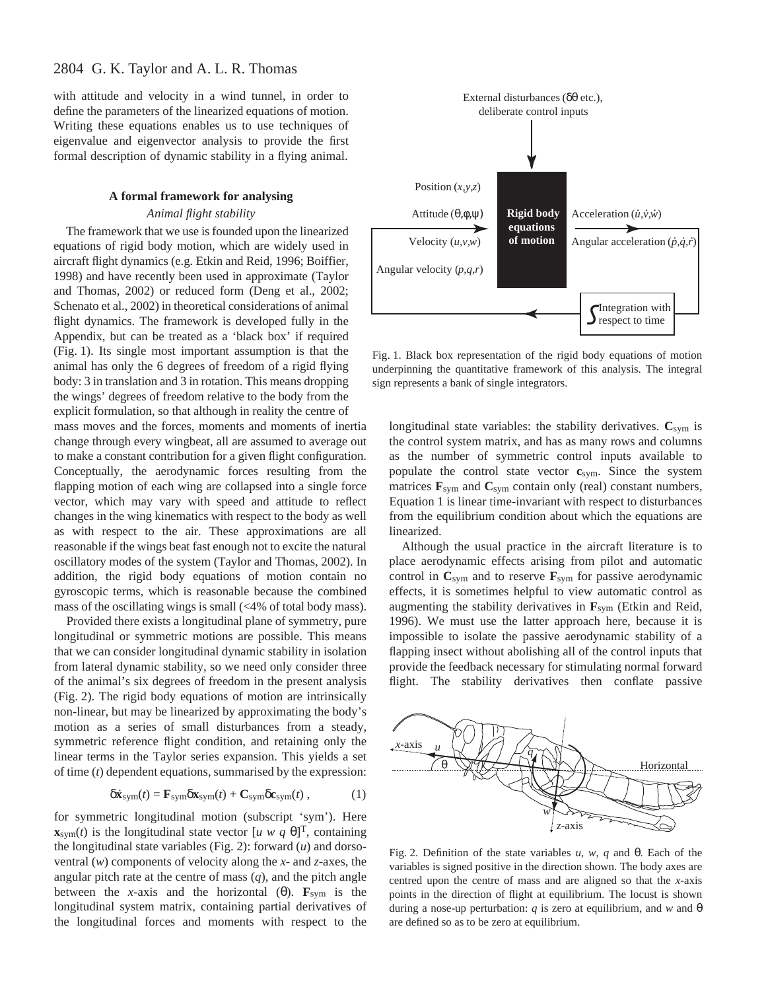with attitude and velocity in a wind tunnel, in order to define the parameters of the linearized equations of motion. Writing these equations enables us to use techniques of eigenvalue and eigenvector analysis to provide the first formal description of dynamic stability in a flying animal.

## **A formal framework for analysing**

## *Animal flight stability*

The framework that we use is founded upon the linearized equations of rigid body motion, which are widely used in aircraft flight dynamics (e.g. Etkin and Reid, 1996; Boiffier, 1998) and have recently been used in approximate (Taylor and Thomas, 2002) or reduced form (Deng et al., 2002; Schenato et al., 2002) in theoretical considerations of animal flight dynamics. The framework is developed fully in the Appendix, but can be treated as a 'black box' if required (Fig. 1). Its single most important assumption is that the animal has only the 6 degrees of freedom of a rigid flying body: 3 in translation and 3 in rotation. This means dropping the wings' degrees of freedom relative to the body from the explicit formulation, so that although in reality the centre of mass moves and the forces, moments and moments of inertia change through every wingbeat, all are assumed to average out to make a constant contribution for a given flight configuration.

Conceptually, the aerodynamic forces resulting from the flapping motion of each wing are collapsed into a single force vector, which may vary with speed and attitude to reflect changes in the wing kinematics with respect to the body as well as with respect to the air. These approximations are all reasonable if the wings beat fast enough not to excite the natural oscillatory modes of the system (Taylor and Thomas, 2002). In addition, the rigid body equations of motion contain no gyroscopic terms, which is reasonable because the combined mass of the oscillating wings is small (<4% of total body mass).

Provided there exists a longitudinal plane of symmetry, pure longitudinal or symmetric motions are possible. This means that we can consider longitudinal dynamic stability in isolation from lateral dynamic stability, so we need only consider three of the animal's six degrees of freedom in the present analysis (Fig. 2). The rigid body equations of motion are intrinsically non-linear, but may be linearized by approximating the body's motion as a series of small disturbances from a steady, symmetric reference flight condition, and retaining only the linear terms in the Taylor series expansion. This yields a set of time (*t*) dependent equations, summarised by the expression:

$$
\delta \dot{\mathbf{x}}_{sym}(t) = \mathbf{F}_{sym} \delta \mathbf{x}_{sym}(t) + \mathbf{C}_{sym} \delta \mathbf{c}_{sym}(t) , \qquad (1)
$$

for symmetric longitudinal motion (subscript 'sym'). Here  $\mathbf{x}_{sym}(t)$  is the longitudinal state vector [*u* w q  $\theta$ ]<sup>T</sup>, containing the longitudinal state variables (Fig. 2): forward  $(u)$  and dorsoventral (*w*) components of velocity along the *x-* and *z*-axes, the angular pitch rate at the centre of mass (*q*), and the pitch angle between the *x*-axis and the horizontal (θ).  $\mathbf{F}_{sym}$  is the longitudinal system matrix, containing partial derivatives of the longitudinal forces and moments with respect to the



Fig. 1. Black box representation of the rigid body equations of motion underpinning the quantitative framework of this analysis. The integral sign represents a bank of single integrators.

longitudinal state variables: the stability derivatives.  $C_{sym}$  is the control system matrix, and has as many rows and columns as the number of symmetric control inputs available to populate the control state vector **c**sym. Since the system matrices  $\mathbf{F}_{sym}$  and  $\mathbf{C}_{sym}$  contain only (real) constant numbers, Equation 1 is linear time-invariant with respect to disturbances from the equilibrium condition about which the equations are linearized.

Although the usual practice in the aircraft literature is to place aerodynamic effects arising from pilot and automatic control in **C**sym and to reserve **F**sym for passive aerodynamic effects, it is sometimes helpful to view automatic control as augmenting the stability derivatives in **F**sym (Etkin and Reid, 1996). We must use the latter approach here, because it is impossible to isolate the passive aerodynamic stability of a flapping insect without abolishing all of the control inputs that provide the feedback necessary for stimulating normal forward flight. The stability derivatives then conflate passive



Fig. 2. Definition of the state variables  $u$ ,  $w$ ,  $q$  and  $\theta$ . Each of the variables is signed positive in the direction shown. The body axes are centred upon the centre of mass and are aligned so that the *x*-axis points in the direction of flight at equilibrium. The locust is shown during a nose-up perturbation: *q* is zero at equilibrium, and *w* and θ are defined so as to be zero at equilibrium.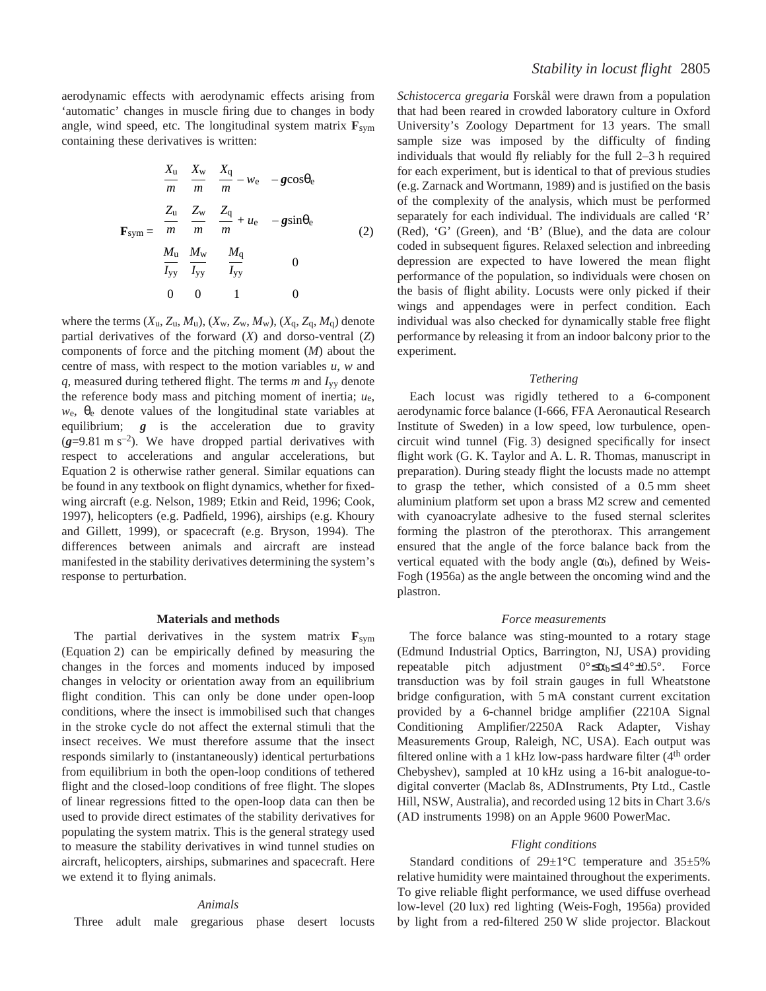aerodynamic effects with aerodynamic effects arising from 'automatic' changes in muscle firing due to changes in body angle, wind speed, etc. The longitudinal system matrix **F**sym containing these derivatives is written:

$$
\mathbf{F}_{sym} = \begin{bmatrix} \frac{X_u}{m} & \frac{X_w}{m} & \frac{X_q}{m} - w_e & -g\cos\theta_e \\ \frac{Z_u}{m} & \frac{Z_w}{m} & \frac{Z_q}{m} + u_e & -g\sin\theta_e \\ \frac{M_u}{I_{yy}} & \frac{M_w}{I_{yy}} & \frac{M_q}{I_{yy}} & 0 \\ 0 & 0 & 1 & 0 \end{bmatrix}
$$
(2)

where the terms  $(X_u, Z_u, M_u)$ ,  $(X_w, Z_w, M_w)$ ,  $(X_q, Z_q, M_q)$  denote partial derivatives of the forward (*X*) and dorso-ventral (*Z*) components of force and the pitching moment (*M*) about the centre of mass, with respect to the motion variables *u*, *w* and *q*, measured during tethered flight. The terms *m* and *I*yy denote the reference body mass and pitching moment of inertia; *u*e, *w*e, θe denote values of the longitudinal state variables at equilibrium;  $g$  is the acceleration due to gravity  $(g=9.81~\mathrm{m~s^{-2}})$ . We have dropped partial derivatives with respect to accelerations and angular accelerations, but Equation 2 is otherwise rather general. Similar equations can be found in any textbook on flight dynamics, whether for fixedwing aircraft (e.g. Nelson, 1989; Etkin and Reid, 1996; Cook, 1997), helicopters (e.g. Padfield, 1996), airships (e.g. Khoury and Gillett, 1999), or spacecraft (e.g. Bryson, 1994). The differences between animals and aircraft are instead manifested in the stability derivatives determining the system's response to perturbation.

## **Materials and methods**

The partial derivatives in the system matrix **F**sym (Equation 2) can be empirically defined by measuring the changes in the forces and moments induced by imposed changes in velocity or orientation away from an equilibrium flight condition. This can only be done under open-loop conditions, where the insect is immobilised such that changes in the stroke cycle do not affect the external stimuli that the insect receives. We must therefore assume that the insect responds similarly to (instantaneously) identical perturbations from equilibrium in both the open-loop conditions of tethered flight and the closed-loop conditions of free flight. The slopes of linear regressions fitted to the open-loop data can then be used to provide direct estimates of the stability derivatives for populating the system matrix. This is the general strategy used to measure the stability derivatives in wind tunnel studies on aircraft, helicopters, airships, submarines and spacecraft. Here we extend it to flying animals.

### *Animals*

Three adult male gregarious phase desert locusts

*Schistocerca gregaria* Forskål were drawn from a population that had been reared in crowded laboratory culture in Oxford University's Zoology Department for 13 years. The small sample size was imposed by the difficulty of finding individuals that would fly reliably for the full  $2-3$  h required for each experiment, but is identical to that of previous studies (e.g. Zarnack and Wortmann, 1989) and is justified on the basis of the complexity of the analysis, which must be performed separately for each individual. The individuals are called 'R' (Red), 'G' (Green), and 'B' (Blue), and the data are colour coded in subsequent figures. Relaxed selection and inbreeding depression are expected to have lowered the mean flight performance of the population, so individuals were chosen on the basis of flight ability. Locusts were only picked if their wings and appendages were in perfect condition. Each individual was also checked for dynamically stable free flight performance by releasing it from an indoor balcony prior to the experiment.

### *Tethering*

Each locust was rigidly tethered to a 6-component aerodynamic force balance (I-666, FFA Aeronautical Research Institute of Sweden) in a low speed, low turbulence, opencircuit wind tunnel (Fig. 3) designed specifically for insect flight work (G. K. Taylor and A. L. R. Thomas, manuscript in preparation). During steady flight the locusts made no attempt to grasp the tether, which consisted of a  $0.5$  mm sheet aluminium platform set upon a brass M2 screw and cemented with cyanoacrylate adhesive to the fused sternal sclerites forming the plastron of the pterothorax. This arrangement ensured that the angle of the force balance back from the vertical equated with the body angle  $(\alpha_b)$ , defined by Weis-Fogh (1956a) as the angle between the oncoming wind and the plastron.

### *Force measurements*

The force balance was sting-mounted to a rotary stage (Edmund Industrial Optics, Barrington, NJ, USA) providing repeatable pitch adjustment  $0^{\circ} \le \alpha_b \le 14^{\circ} \pm 0.5^{\circ}$ . Force transduction was by foil strain gauges in full Wheatstone bridge configuration, with 5 mA constant current excitation provided by a 6-channel bridge amplifier (2210A Signal Conditioning Amplifier/2250A Rack Adapter, Vishay Measurements Group, Raleigh, NC, USA). Each output was filtered online with a 1 kHz low-pass hardware filter  $(4<sup>th</sup> order)$ Chebyshev), sampled at 10 kHz using a 16-bit analogue-todigital converter (Maclab 8s, ADInstruments, Pty Ltd., Castle Hill, NSW, Australia), and recorded using 12 bits in Chart 3.6/s (AD instruments 1998) on an Apple 9600 PowerMac.

### *Flight conditions*

Standard conditions of  $29\pm1\degree C$  temperature and  $35\pm5\%$ relative humidity were maintained throughout the experiments. To give reliable flight performance, we used diffuse overhead low-level (20 lux) red lighting (Weis-Fogh, 1956a) provided by light from a red-filtered 250 W slide projector. Blackout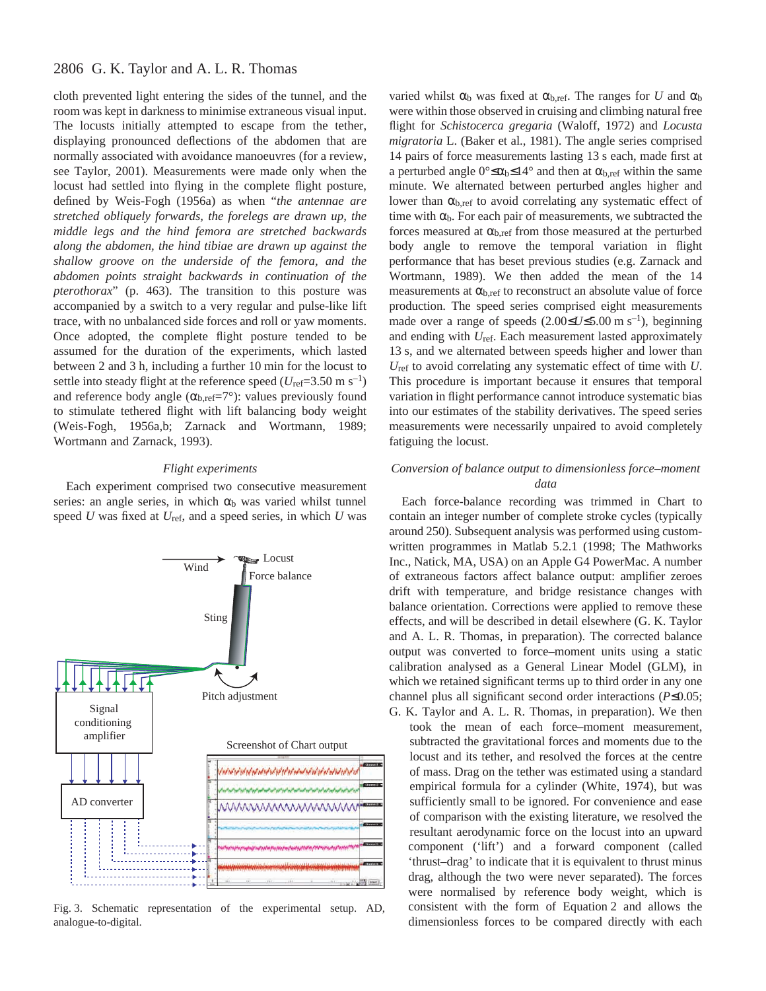cloth prevented light entering the sides of the tunnel, and the room was kept in darkness to minimise extraneous visual input. The locusts initially attempted to escape from the tether, displaying pronounced deflections of the abdomen that are normally associated with avoidance manoeuvres (for a review, see Taylor, 2001). Measurements were made only when the locust had settled into flying in the complete flight posture, defined by Weis-Fogh (1956a) as when "*the antennae are stretched obliquely forwards, the forelegs are drawn up, the middle legs and the hind femora are stretched backwards along the abdomen, the hind tibiae are drawn up against the shallow groove on the underside of the femora, and the abdomen points straight backwards in continuation of the pterothorax*" (p. 463). The transition to this posture was accompanied by a switch to a very regular and pulse-like lift trace, with no unbalanced side forces and roll or yaw moments. Once adopted, the complete flight posture tended to be assumed for the duration of the experiments, which lasted between 2 and 3 h, including a further 10 min for the locust to settle into steady flight at the reference speed ( $U_{\text{ref}}$ =3.50 m s<sup>-1</sup>) and reference body angle  $(\alpha_{b,ref}=7^{\circ})$ : values previously found to stimulate tethered flight with lift balancing body weight (Weis-Fogh, 1956a,b; Zarnack and Wortmann, 1989; Wortmann and Zarnack, 1993).

## *Flight experiments*

Each experiment comprised two consecutive measurement series: an angle series, in which  $\alpha_b$  was varied whilst tunnel speed *U* was fixed at *U*ref, and a speed series, in which *U* was



Fig. 3. Schematic representation of the experimental setup. AD, analogue-to-digital.

varied whilst  $\alpha_b$  was fixed at  $\alpha_{b,\text{ref}}$ . The ranges for *U* and  $\alpha_b$ were within those observed in cruising and climbing natural free flight for *Schistocerca gregaria* (Waloff, 1972) and *Locusta migratoria* L. (Baker et al., 1981). The angle series comprised 14 pairs of force measurements lasting 13 s each, made first at a perturbed angle  $0^{\circ} \le \alpha_0 \le 14^{\circ}$  and then at  $\alpha_{b,ref}$  within the same minute. We alternated between perturbed angles higher and lower than  $\alpha_{b,ref}$  to avoid correlating any systematic effect of time with  $\alpha_b$ . For each pair of measurements, we subtracted the forces measured at  $\alpha_{b,ref}$  from those measured at the perturbed body angle to remove the temporal variation in flight performance that has beset previous studies (e.g. Zarnack and Wortmann, 1989). We then added the mean of the 14 measurements at  $\alpha_{b,ref}$  to reconstruct an absolute value of force production. The speed series comprised eight measurements made over a range of speeds  $(2.00\leq U \leq 5.00 \text{ m s}^{-1})$ , beginning and ending with *U*ref. Each measurement lasted approximately 13 s, and we alternated between speeds higher and lower than *U*ref to avoid correlating any systematic effect of time with *U*. This procedure is important because it ensures that temporal variation in flight performance cannot introduce systematic bias into our estimates of the stability derivatives. The speed series measurements were necessarily unpaired to avoid completely fatiguing the locust.

# *Conversion of balance output to dimensionless force–moment data*

Each force-balance recording was trimmed in Chart to contain an integer number of complete stroke cycles (typically around 250). Subsequent analysis was performed using customwritten programmes in Matlab 5.2.1 (1998; The Mathworks Inc., Natick, MA, USA) on an Apple G4 PowerMac. A number of extraneous factors affect balance output: amplifier zeroes drift with temperature, and bridge resistance changes with balance orientation. Corrections were applied to remove these effects, and will be described in detail elsewhere (G. K. Taylor and A. L. R. Thomas, in preparation). The corrected balance output was converted to force–moment units using a static calibration analysed as a General Linear Model (GLM), in which we retained significant terms up to third order in any one channel plus all significant second order interactions (*P*≤0.05;

G. K. Taylor and A. L. R. Thomas, in preparation). We then took the mean of each force–moment measurement, subtracted the gravitational forces and moments due to the locust and its tether, and resolved the forces at the centre of mass. Drag on the tether was estimated using a standard empirical formula for a cylinder (White, 1974), but was sufficiently small to be ignored. For convenience and ease of comparison with the existing literature, we resolved the resultant aerodynamic force on the locust into an upward component ('lift') and a forward component (called 'thrust–drag' to indicate that it is equivalent to thrust minus drag, although the two were never separated). The forces were normalised by reference body weight, which is consistent with the form of Equation 2 and allows the dimensionless forces to be compared directly with each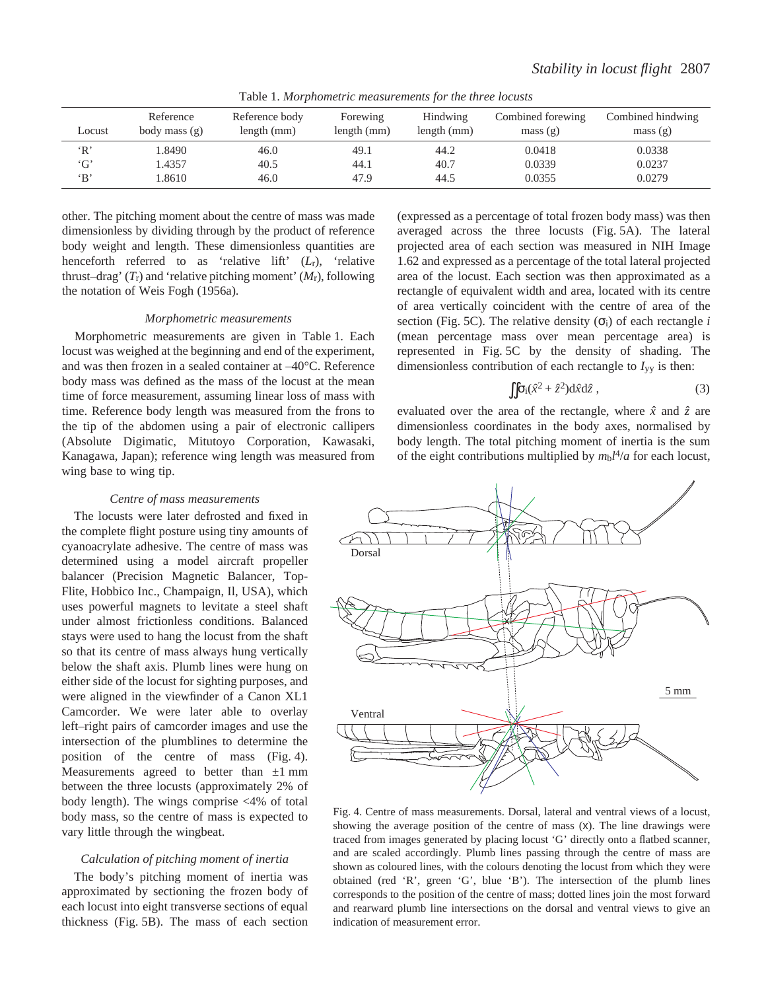| Locust    | Reference<br>body mass (g) | Reference body<br>length (mm) | Forewing<br>length (mm) | Hindwing<br>length $(mm)$ | Combined forewing<br>mass(g) | Combined hindwing<br>mass(g) |
|-----------|----------------------------|-------------------------------|-------------------------|---------------------------|------------------------------|------------------------------|
| R         | .8490                      | 46.0                          | 49.1                    | 44.2                      | 0.0418                       | 0.0338                       |
| 'G'       | .4357                      | 40.5                          | 44.1                    | 40.7                      | 0.0339                       | 0.0237                       |
| $\cdot$ B | .8610                      | 46.0                          | 47.9                    | 44.5                      | 0.0355                       | 0.0279                       |

Table 1. *Morphometric measurements for the three locusts* 

other. The pitching moment about the centre of mass was made dimensionless by dividing through by the product of reference body weight and length. These dimensionless quantities are henceforth referred to as 'relative lift' (*L*r), 'relative thrust–drag'  $(T_r)$  and 'relative pitching moment'  $(M_r)$ , following the notation of Weis Fogh (1956a).

#### *Morphometric measurements*

Morphometric measurements are given in Table 1. Each locust was weighed at the beginning and end of the experiment, and was then frozen in a sealed container at –40°C. Reference body mass was defined as the mass of the locust at the mean time of force measurement, assuming linear loss of mass with time. Reference body length was measured from the frons to the tip of the abdomen using a pair of electronic callipers (Absolute Digimatic, Mitutoyo Corporation, Kawasaki, Kanagawa, Japan); reference wing length was measured from wing base to wing tip.

### *Centre of mass measurements*

The locusts were later defrosted and fixed in the complete flight posture using tiny amounts of cyanoacrylate adhesive. The centre of mass was determined using a model aircraft propeller balancer (Precision Magnetic Balancer, Top-Flite, Hobbico Inc., Champaign, Il, USA), which uses powerful magnets to levitate a steel shaft under almost frictionless conditions. Balanced stays were used to hang the locust from the shaft so that its centre of mass always hung vertically below the shaft axis. Plumb lines were hung on either side of the locust for sighting purposes, and were aligned in the viewfinder of a Canon XL1 Camcorder. We were later able to overlay left–right pairs of camcorder images and use the intersection of the plumblines to determine the position of the centre of mass (Fig. 4). Measurements agreed to better than  $\pm 1$  mm between the three locusts (approximately 2% of body length). The wings comprise <4% of total body mass, so the centre of mass is expected to vary little through the wingbeat.

### *Calculation of pitching moment of inertia*

The body's pitching moment of inertia was approximated by sectioning the frozen body of each locust into eight transverse sections of equal thickness (Fig. 5B). The mass of each section

(expressed as a percentage of total frozen body mass) was then averaged across the three locusts (Fig. 5A). The lateral projected area of each section was measured in NIH Image 1.62 and expressed as a percentage of the total lateral projected area of the locust. Each section was then approximated as a rectangle of equivalent width and area, located with its centre of area vertically coincident with the centre of area of the section (Fig. 5C). The relative density  $(\sigma_i)$  of each rectangle *i* (mean percentage mass over mean percentage area) is represented in Fig. 5C by the density of shading. The dimensionless contribution of each rectangle to *I*yy is then:

$$
\iint \sigma_i(\hat{x}^2 + \hat{z}^2) d\hat{x} d\hat{z} , \qquad (3)
$$

evaluated over the area of the rectangle, where  $\hat{x}$  and  $\hat{z}$  are dimensionless coordinates in the body axes, normalised by body length. The total pitching moment of inertia is the sum of the eight contributions multiplied by  $m_b l^4/a$  for each locust,



Fig. 4. Centre of mass measurements. Dorsal, lateral and ventral views of a locust, showing the average position of the centre of mass (x). The line drawings were traced from images generated by placing locust 'G' directly onto a flatbed scanner, and are scaled accordingly. Plumb lines passing through the centre of mass are shown as coloured lines, with the colours denoting the locust from which they were obtained (red 'R', green 'G', blue 'B'). The intersection of the plumb lines corresponds to the position of the centre of mass; dotted lines join the most forward and rearward plumb line intersections on the dorsal and ventral views to give an indication of measurement error.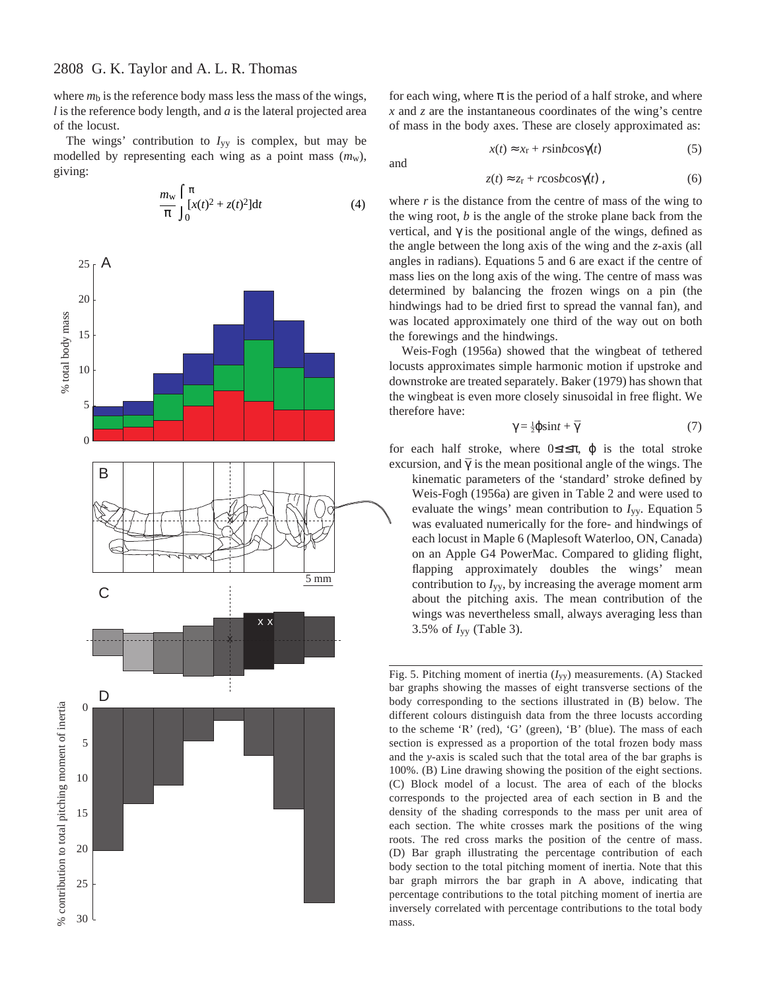where  $m_b$  is the reference body mass less the mass of the wings, *l* is the reference body length, and *a* is the lateral projected area of the locust.

The wings' contribution to *I*yy is complex, but may be modelled by representing each wing as a point mass (*m*w), giving:

$$
\frac{m_{\rm w}}{\pi} \int_0^{\pi} [x(t)^2 + z(t)^2] \mathrm{d}t \tag{4}
$$



for each wing, where  $\pi$  is the period of a half stroke, and where *x* and *z* are the instantaneous coordinates of the wing's centre of mass in the body axes. These are closely approximated as:

$$
x(t) \approx x_{\rm r} + r \sin b \cos \gamma(t) \tag{5}
$$

and

$$
z(t) \approx z_{\rm r} + r \cos b \cos \gamma(t) \,, \tag{6}
$$

where *r* is the distance from the centre of mass of the wing to the wing root, *b* is the angle of the stroke plane back from the vertical, and  $\gamma$  is the positional angle of the wings, defined as the angle between the long axis of the wing and the *z*-axis (all angles in radians). Equations 5 and 6 are exact if the centre of mass lies on the long axis of the wing. The centre of mass was determined by balancing the frozen wings on a pin (the hindwings had to be dried first to spread the vannal fan), and was located approximately one third of the way out on both the forewings and the hindwings.

Weis-Fogh (1956a) showed that the wingbeat of tethered locusts approximates simple harmonic motion if upstroke and downstroke are treated separately. Baker (1979) has shown that the wingbeat is even more closely sinusoidal in free flight. We therefore have:

$$
\gamma = \frac{1}{2}\varphi\sin t + \bar{\gamma} \tag{7}
$$

for each half stroke, where  $0 \le t \le \pi$ ,  $\varphi$  is the total stroke excursion, and  $\bar{y}$  is the mean positional angle of the wings. The kinematic parameters of the 'standard' stroke defined by

Weis-Fogh (1956a) are given in Table 2 and were used to evaluate the wings' mean contribution to  $I_{yy}$ . Equation 5 was evaluated numerically for the fore- and hindwings of each locust in Maple 6 (Maplesoft Waterloo, ON, Canada) on an Apple G4 PowerMac. Compared to gliding flight, flapping approximately doubles the wings' mean contribution to *I*yy, by increasing the average moment arm about the pitching axis. The mean contribution of the wings was nevertheless small, always averaging less than 3.5% of *I*<sub>yy</sub> (Table 3).

Fig. 5. Pitching moment of inertia ( $I_{yy}$ ) measurements. (A) Stacked bar graphs showing the masses of eight transverse sections of the body corresponding to the sections illustrated in (B) below. The different colours distinguish data from the three locusts according to the scheme 'R' (red), 'G' (green), 'B' (blue). The mass of each section is expressed as a proportion of the total frozen body mass and the *y*-axis is scaled such that the total area of the bar graphs is 100%. (B) Line drawing showing the position of the eight sections. (C) Block model of a locust. The area of each of the blocks corresponds to the projected area of each section in B and the density of the shading corresponds to the mass per unit area of each section. The white crosses mark the positions of the wing roots. The red cross marks the position of the centre of mass. (D) Bar graph illustrating the percentage contribution of each body section to the total pitching moment of inertia. Note that this bar graph mirrors the bar graph in A above, indicating that percentage contributions to the total pitching moment of inertia are inversely correlated with percentage contributions to the total body mass.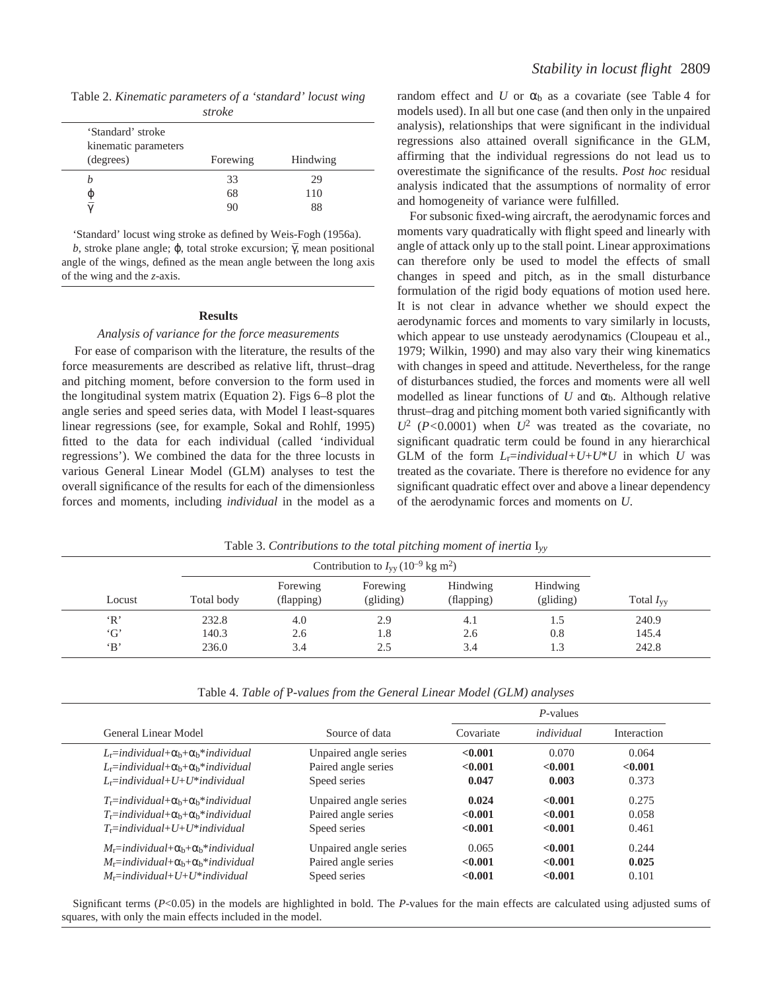|                                           | stroke   |          |  |
|-------------------------------------------|----------|----------|--|
| 'Standard' stroke<br>kinematic parameters |          |          |  |
| (degrees)                                 | Forewing | Hindwing |  |
| h                                         | 33       | 29       |  |
| Φ                                         | 68       | 110      |  |
| $\bar{\mathrm{v}}$                        | 90       | 88       |  |

Table 2. *Kinematic parameters of a 'standard' locust wing* 

'Standard' locust wing stroke as defined by Weis-Fogh (1956a).

*b*, stroke plane angle;  $φ$ , total stroke excursion;  $γ$ , mean positional angle of the wings, defined as the mean angle between the long axis of the wing and the *z*-axis.

### **Results**

## *Analysis of variance for the force measurements*

For ease of comparison with the literature, the results of the force measurements are described as relative lift, thrust–drag and pitching moment, before conversion to the form used in the longitudinal system matrix (Equation 2). Figs 6–8 plot the angle series and speed series data, with Model I least-squares linear regressions (see, for example, Sokal and Rohlf, 1995) fitted to the data for each individual (called 'individual regressions'). We combined the data for the three locusts in various General Linear Model (GLM) analyses to test the overall significance of the results for each of the dimensionless forces and moments, including *individual* in the model as a random effect and *U* or  $\alpha_b$  as a covariate (see Table 4 for models used). In all but one case (and then only in the unpaired analysis), relationships that were significant in the individual regressions also attained overall significance in the GLM, affirming that the individual regressions do not lead us to overestimate the significance of the results. *Post hoc* residual analysis indicated that the assumptions of normality of error and homogeneity of variance were fulfilled.

For subsonic fixed-wing aircraft, the aerodynamic forces and moments vary quadratically with flight speed and linearly with angle of attack only up to the stall point. Linear approximations can therefore only be used to model the effects of small changes in speed and pitch, as in the small disturbance formulation of the rigid body equations of motion used here. It is not clear in advance whether we should expect the aerodynamic forces and moments to vary similarly in locusts, which appear to use unsteady aerodynamics (Cloupeau et al., 1979; Wilkin, 1990) and may also vary their wing kinematics with changes in speed and attitude. Nevertheless, for the range of disturbances studied, the forces and moments were all well modelled as linear functions of  $U$  and  $\alpha_b$ . Although relative thrust–drag and pitching moment both varied significantly with  $U^2$  ( $P < 0.0001$ ) when  $U^2$  was treated as the covariate, no significant quadratic term could be found in any hierarchical GLM of the form  $L_f$ =*individual*+ $U+U*U$  in which *U* was treated as the covariate. There is therefore no evidence for any significant quadratic effect over and above a linear dependency of the aerodynamic forces and moments on *U*.

|                                         |            |                        |                                                                | Table 3. Contributions to the total pitching moment of inertia $I_{vv}$ |                       |                |
|-----------------------------------------|------------|------------------------|----------------------------------------------------------------|-------------------------------------------------------------------------|-----------------------|----------------|
|                                         |            |                        | Contribution to $I_{yy}$ (10 <sup>-9</sup> kg m <sup>2</sup> ) |                                                                         |                       |                |
| Locust                                  | Total body | Forewing<br>(flapping) | Forewing<br>(gliding)                                          | Hindwing<br>(flapping)                                                  | Hindwing<br>(gliding) | Total $I_{yy}$ |
| $\mathbf{R}$                            | 232.8      | 4.0                    | 2.9                                                            | 4.1                                                                     |                       | 240.9          |
| G'                                      | 140.3      | 2.6                    | 1.8                                                            | 2.6                                                                     | 0.8                   | 145.4          |
| $\cdot$ B <sup><math>\cdot</math></sup> | 236.0      | 3.4                    |                                                                | 3.4                                                                     |                       | 242.8          |

Table 4. *Table of P-values from the General Linear Model (GLM) analyses* 

|                                                                          |                       |           | <i>P</i> -values |             |  |
|--------------------------------------------------------------------------|-----------------------|-----------|------------------|-------------|--|
| General Linear Model                                                     | Source of data        | Covariate | individual       | Interaction |  |
| $L_{\rm r}$ =individual+ $\alpha_{\rm b}$ + $\alpha_{\rm b}$ *individual | Unpaired angle series | < 0.001   | 0.070            | 0.064       |  |
| $L_{\rm r}$ =individual+ $\alpha_{\rm b}$ + $\alpha_{\rm b}$ *individual | Paired angle series   | < 0.001   | < 0.001          | < 0.001     |  |
| $L_r = individual+U+U*indivial$                                          | Speed series          | 0.047     | 0.003            | 0.373       |  |
| $T_{\rm r}$ =individual+ $\alpha_{\rm b}$ + $\alpha_{\rm b}$ *individual | Unpaired angle series | 0.024     | < 0.001          | 0.275       |  |
| $T_{\rm r}$ =individual+ $\alpha_{\rm b}$ + $\alpha_{\rm b}$ *individual | Paired angle series   | < 0.001   | < 0.001          | 0.058       |  |
| $T_{\rm r}$ =individual+U+U*individual                                   | Speed series          | < 0.001   | < 0.001          | 0.461       |  |
| $M_{\rm r}$ =individual+ $\alpha_{\rm b}$ + $\alpha_{\rm b}$ *individual | Unpaired angle series | 0.065     | < 0.001          | 0.244       |  |
| $M_{\rm r}$ =individual+ $\alpha_{\rm b}$ + $\alpha_{\rm b}$ *individual | Paired angle series   | < 0.001   | < 0.001          | 0.025       |  |
| $M_{\rm r}$ =individual+U+U*individual                                   | Speed series          | < 0.001   | < 0.001          | 0.101       |  |

Significant terms (*P*<0.05) in the models are highlighted in bold. The *P*-values for the main effects are calculated using adjusted sums of squares, with only the main effects included in the model.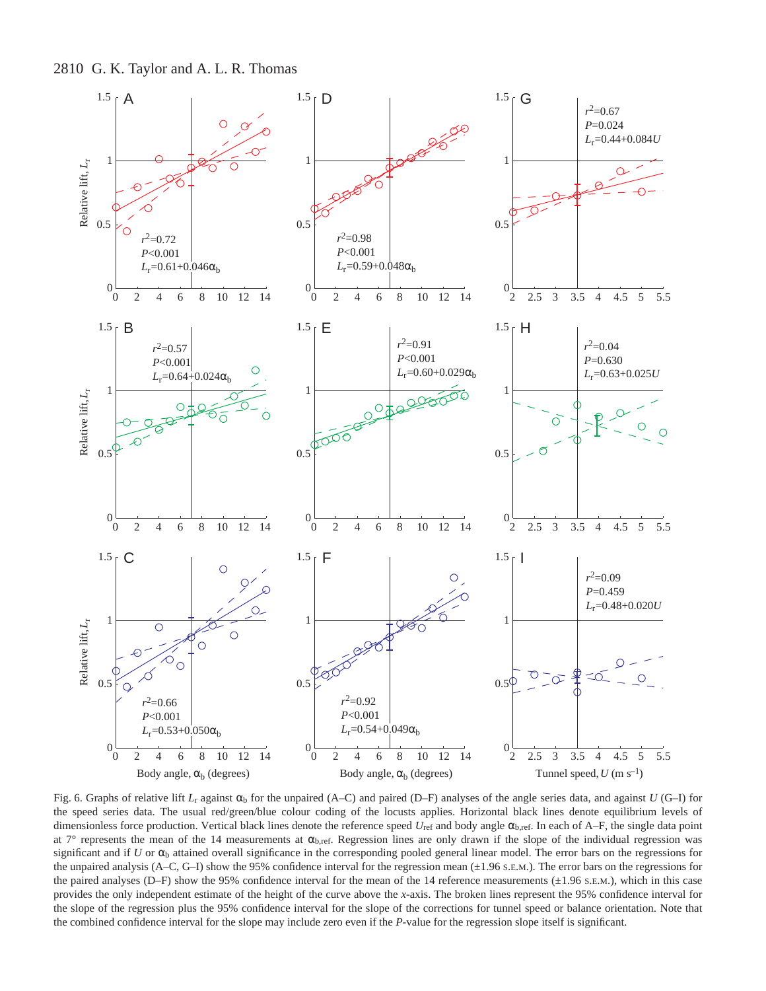

Fig.·6. Graphs of relative lift *L*r against αb for the unpaired (A–C) and paired (D–F) analyses of the angle series data, and against *U* (G–I) for the speed series data. The usual red/green/blue colour coding of the locusts applies. Horizontal black lines denote equilibrium levels of dimensionless force production. Vertical black lines denote the reference speed *U*ref and body angle αb,ref. In each of A–F, the single data point at  $7^\circ$  represents the mean of the 14 measurements at  $\alpha_{b,ref}$ . Regression lines are only drawn if the slope of the individual regression was significant and if *U* or αb attained overall significance in the corresponding pooled general linear model. The error bars on the regressions for the unpaired analysis (A–C, G–I) show the 95% confidence interval for the regression mean (±1.96 S.E.M.). The error bars on the regressions for the paired analyses (D–F) show the 95% confidence interval for the mean of the 14 reference measurements (±1.96 S.E.M.), which in this case provides the only independent estimate of the height of the curve above the *x*-axis. The broken lines represent the 95% confidence interval for the slope of the regression plus the 95% confidence interval for the slope of the corrections for tunnel speed or balance orientation. Note that the combined confidence interval for the slope may include zero even if the *P*-value for the regression slope itself is significant.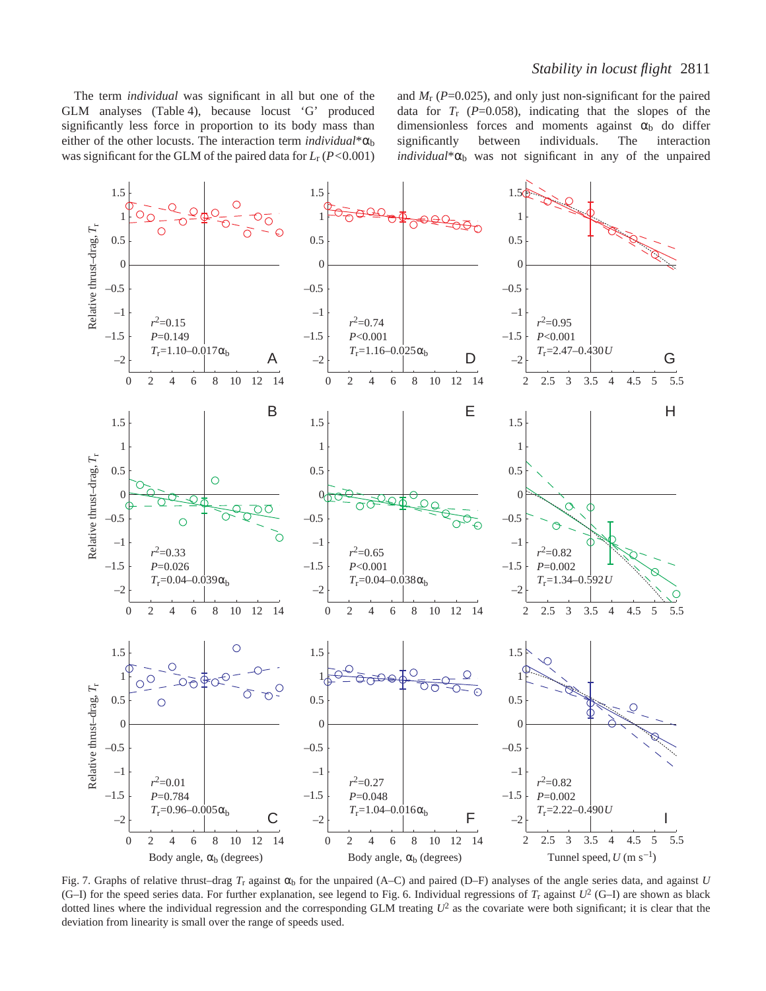The term *individual* was significant in all but one of the GLM analyses (Table 4), because locust 'G' produced significantly less force in proportion to its body mass than either of the other locusts. The interaction term *individual*\*αb was significant for the GLM of the paired data for *L*r (*P<*0.001) and  $M_r$  ( $P=0.025$ ), and only just non-significant for the paired data for  $T_r$  ( $P=0.058$ ), indicating that the slopes of the dimensionless forces and moments against  $\alpha_b$  do differ significantly between individuals. The interaction *individual*\*αb was not significant in any of the unpaired



Fig. 7. Graphs of relative thrust–drag  $T_r$  against  $\alpha_b$  for the unpaired (A–C) and paired (D–F) analyses of the angle series data, and against *U* (G–I) for the speed series data. For further explanation, see legend to Fig. 6. Individual regressions of  $T_r$  against  $U^2$  (G–I) are shown as black dotted lines where the individual regression and the corresponding GLM treating  $U^2$  as the covariate were both significant; it is clear that the deviation from linearity is small over the range of speeds used.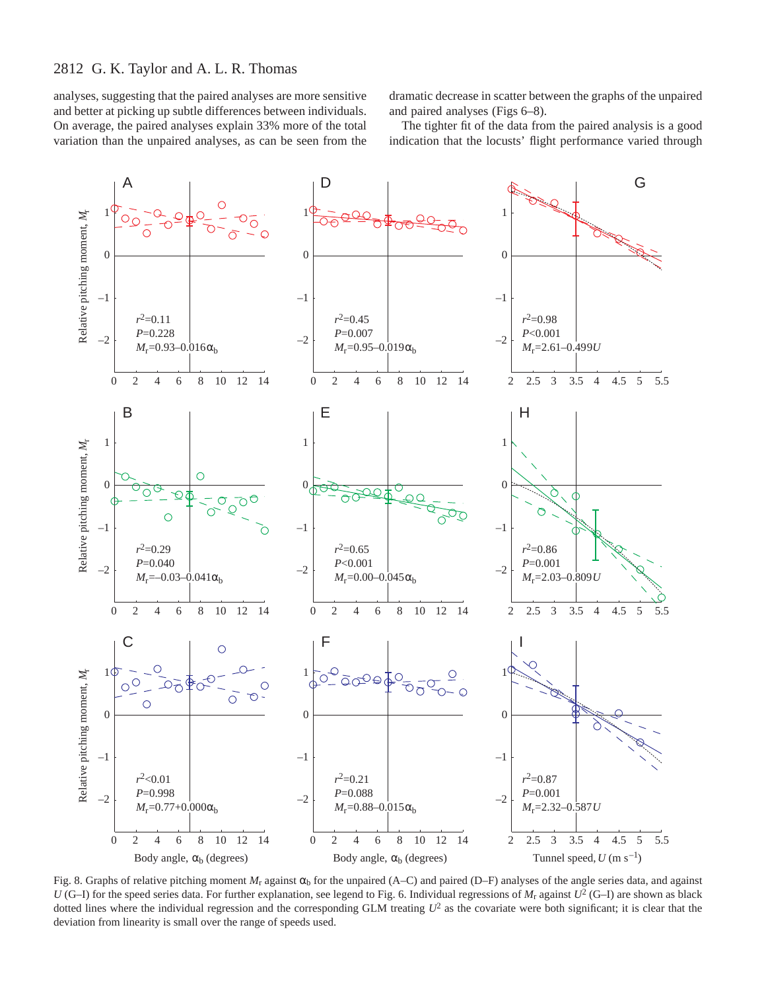analyses, suggesting that the paired analyses are more sensitive and better at picking up subtle differences between individuals. On average, the paired analyses explain 33% more of the total variation than the unpaired analyses, as can be seen from the

dramatic decrease in scatter between the graphs of the unpaired and paired analyses (Figs 6–8).

The tighter fit of the data from the paired analysis is a good indication that the locusts' flight performance varied through



Fig. 8. Graphs of relative pitching moment  $M_r$  against  $\alpha_b$  for the unpaired (A–C) and paired (D–F) analyses of the angle series data, and against  $U$  (G–I) for the speed series data. For further explanation, see legend to Fig. 6. Individual regressions of  $M_r$  against  $U^2$  (G–I) are shown as black dotted lines where the individual regression and the corresponding GLM treating *U*<sup>2</sup> as the covariate were both significant; it is clear that the deviation from linearity is small over the range of speeds used.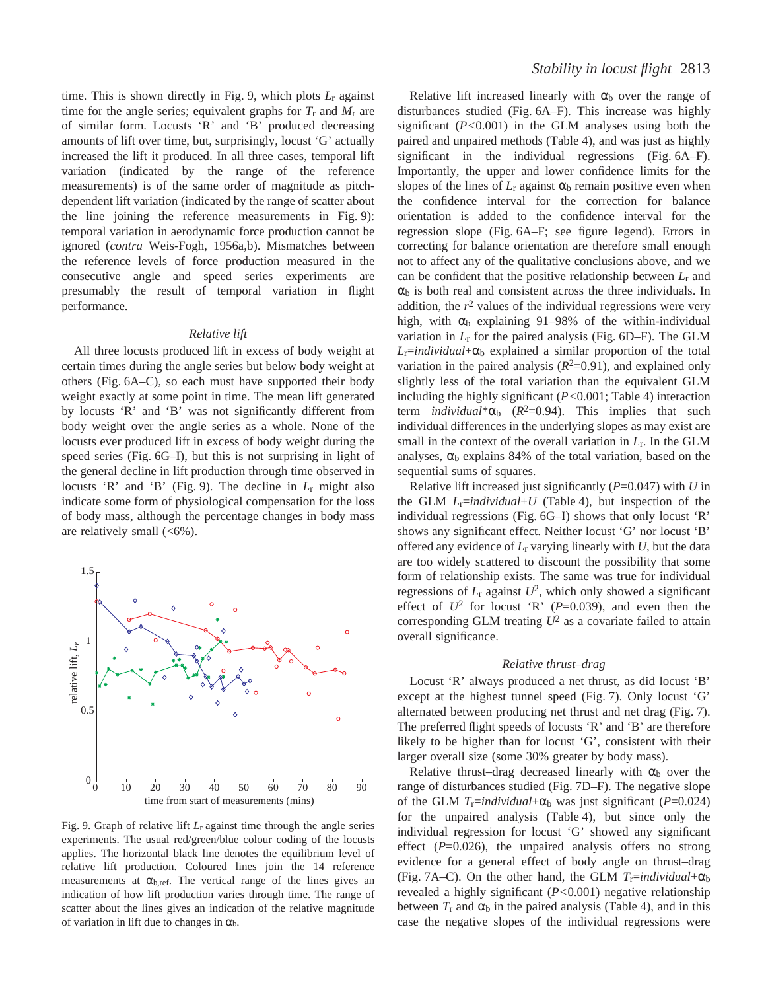time. This is shown directly in Fig. 9, which plots  $L_r$  against time for the angle series; equivalent graphs for  $T_r$  and  $M_r$  are of similar form. Locusts 'R' and 'B' produced decreasing amounts of lift over time, but, surprisingly, locust 'G' actually increased the lift it produced. In all three cases, temporal lift variation (indicated by the range of the reference measurements) is of the same order of magnitude as pitchdependent lift variation (indicated by the range of scatter about the line joining the reference measurements in Fig. 9): temporal variation in aerodynamic force production cannot be ignored (*contra* Weis-Fogh, 1956a,b). Mismatches between the reference levels of force production measured in the consecutive angle and speed series experiments are presumably the result of temporal variation in flight performance.

## *Relative lift*

All three locusts produced lift in excess of body weight at certain times during the angle series but below body weight at others (Fig. 6A–C), so each must have supported their body weight exactly at some point in time. The mean lift generated by locusts 'R' and 'B' was not significantly different from body weight over the angle series as a whole. None of the locusts ever produced lift in excess of body weight during the speed series (Fig. 6G–I), but this is not surprising in light of the general decline in lift production through time observed in locusts 'R' and 'B' (Fig. 9). The decline in  $L_r$  might also indicate some form of physiological compensation for the loss of body mass, although the percentage changes in body mass are relatively small (<6%).



Fig. 9. Graph of relative lift  $L_r$  against time through the angle series experiments. The usual red/green/blue colour coding of the locusts applies. The horizontal black line denotes the equilibrium level of relative lift production. Coloured lines join the 14 reference measurements at  $\alpha_{b,ref.}$  The vertical range of the lines gives an indication of how lift production varies through time. The range of scatter about the lines gives an indication of the relative magnitude of variation in lift due to changes in  $\alpha_b$ .

Relative lift increased linearly with  $\alpha_b$  over the range of disturbances studied (Fig. 6A–F). This increase was highly significant (*P<*0.001) in the GLM analyses using both the paired and unpaired methods (Table 4), and was just as highly significant in the individual regressions (Fig.  $6A-F$ ). Importantly, the upper and lower confidence limits for the slopes of the lines of  $L_r$  against  $\alpha_b$  remain positive even when the confidence interval for the correction for balance orientation is added to the confidence interval for the regression slope (Fig. 6A–F; see figure legend). Errors in correcting for balance orientation are therefore small enough not to affect any of the qualitative conclusions above, and we can be confident that the positive relationship between *L*r and  $\alpha_b$  is both real and consistent across the three individuals. In addition, the  $r^2$  values of the individual regressions were very high, with  $\alpha_b$  explaining 91–98% of the within-individual variation in  $L_r$  for the paired analysis (Fig. 6D–F). The GLM *L*r=*individual*+αb explained a similar proportion of the total variation in the paired analysis  $(R^2=0.91)$ , and explained only slightly less of the total variation than the equivalent GLM including the highly significant ( $P < 0.001$ ; Table 4) interaction term *individual*\* $\alpha_b$  ( $R^2=0.94$ ). This implies that such individual differences in the underlying slopes as may exist are small in the context of the overall variation in *L*r. In the GLM analyses,  $\alpha_b$  explains 84% of the total variation, based on the sequential sums of squares.

Relative lift increased just significantly (*P*=0.047) with *U* in the GLM  $L_f$ =*individual*+*U* (Table 4), but inspection of the individual regressions (Fig.  $6G-I$ ) shows that only locust 'R' shows any significant effect. Neither locust 'G' nor locust 'B' offered any evidence of *L*r varying linearly with *U*, but the data are too widely scattered to discount the possibility that some form of relationship exists. The same was true for individual regressions of  $L_r$  against  $U^2$ , which only showed a significant effect of  $U^2$  for locust 'R' ( $P=0.039$ ), and even then the corresponding GLM treating  $U^2$  as a covariate failed to attain overall significance.

### *Relative thrust–drag*

Locust 'R' always produced a net thrust, as did locust 'B' except at the highest tunnel speed (Fig. 7). Only locust  $'G'$ alternated between producing net thrust and net drag (Fig. 7). The preferred flight speeds of locusts 'R' and 'B' are therefore likely to be higher than for locust 'G', consistent with their larger overall size (some 30% greater by body mass).

Relative thrust–drag decreased linearly with  $\alpha_b$  over the range of disturbances studied (Fig. 7D–F). The negative slope of the GLM  $T_r$ =*individual*+ $\alpha_b$  was just significant (*P*=0.024) for the unpaired analysis (Table 4), but since only the individual regression for locust 'G' showed any significant effect  $(P=0.026)$ , the unpaired analysis offers no strong evidence for a general effect of body angle on thrust–drag (Fig. 7A–C). On the other hand, the GLM  $T_r$ =*individual*+ $\alpha_b$ revealed a highly significant (*P<*0.001) negative relationship between  $T_r$  and  $\alpha_b$  in the paired analysis (Table 4), and in this case the negative slopes of the individual regressions were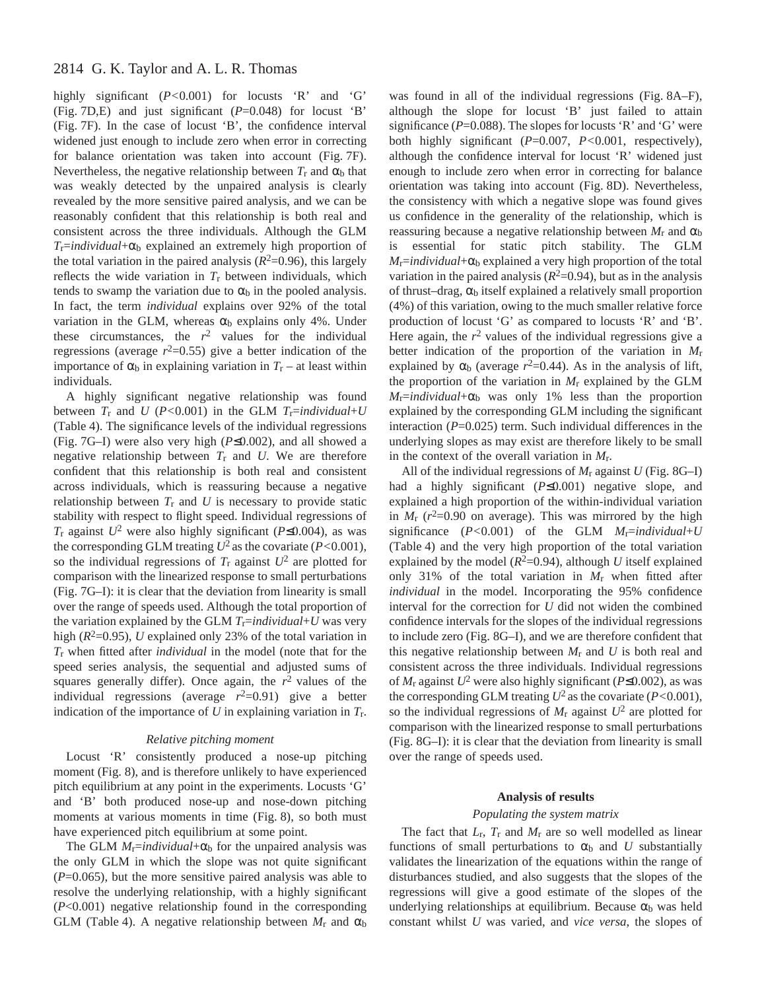highly significant (*P<*0.001) for locusts 'R' and 'G' (Fig. 7D, E) and just significant  $(P=0.048)$  for locust 'B' (Fig. 7F). In the case of locust 'B', the confidence interval widened just enough to include zero when error in correcting for balance orientation was taken into account (Fig. 7F). Nevertheless, the negative relationship between  $T_r$  and  $\alpha_b$  that was weakly detected by the unpaired analysis is clearly revealed by the more sensitive paired analysis, and we can be reasonably confident that this relationship is both real and consistent across the three individuals. Although the GLM *T*r=*individual*+αb explained an extremely high proportion of the total variation in the paired analysis  $(R^2=0.96)$ , this largely reflects the wide variation in *T*r between individuals, which tends to swamp the variation due to  $\alpha_b$  in the pooled analysis. In fact, the term *individual* explains over 92% of the total variation in the GLM, whereas  $\alpha_b$  explains only 4%. Under these circumstances, the  $r^2$  values for the individual regressions (average  $r^2$ =0.55) give a better indication of the importance of  $\alpha_b$  in explaining variation in  $T_r$  – at least within individuals.

A highly significant negative relationship was found between  $T_r$  and *U* ( $P < 0.001$ ) in the GLM  $T_r = individual + U$ (Table 4). The significance levels of the individual regressions (Fig.·7G–I) were also very high (*P*≤0.002), and all showed a negative relationship between *T*r and *U*. We are therefore confident that this relationship is both real and consistent across individuals, which is reassuring because a negative relationship between  $T_r$  and  $U$  is necessary to provide static stability with respect to flight speed. Individual regressions of  $T_r$  against  $U^2$  were also highly significant ( $P \le 0.004$ ), as was the corresponding GLM treating  $U^2$  as the covariate ( $P < 0.001$ ), so the individual regressions of  $T_r$  against  $U^2$  are plotted for comparison with the linearized response to small perturbations (Fig. 7G–I): it is clear that the deviation from linearity is small over the range of speeds used. Although the total proportion of the variation explained by the GLM  $T_r$ =individual+*U* was very high  $(R^2=0.95)$ , *U* explained only 23% of the total variation in *T*r when fitted after *individual* in the model (note that for the speed series analysis, the sequential and adjusted sums of squares generally differ). Once again, the  $r^2$  values of the individual regressions (average  $r^2=0.91$ ) give a better indication of the importance of *U* in explaining variation in *T*r.

## *Relative pitching moment*

Locust 'R' consistently produced a nose-up pitching moment (Fig. 8), and is therefore unlikely to have experienced pitch equilibrium at any point in the experiments. Locusts 'G' and 'B' both produced nose-up and nose-down pitching moments at various moments in time (Fig. 8), so both must have experienced pitch equilibrium at some point.

The GLM  $M_r$ =*individual*+ $\alpha_b$  for the unpaired analysis was the only GLM in which the slope was not quite significant (*P*=0.065), but the more sensitive paired analysis was able to resolve the underlying relationship, with a highly significant (*P*<0.001) negative relationship found in the corresponding GLM (Table 4). A negative relationship between  $M_r$  and  $\alpha_b$ 

was found in all of the individual regressions (Fig. 8A–F), although the slope for locust 'B' just failed to attain significance ( $P=0.088$ ). The slopes for locusts 'R' and 'G' were both highly significant (*P*=0.007, *P<*0.001, respectively), although the confidence interval for locust 'R' widened just enough to include zero when error in correcting for balance orientation was taking into account (Fig. 8D). Nevertheless, the consistency with which a negative slope was found gives us confidence in the generality of the relationship, which is reassuring because a negative relationship between  $M_r$  and  $\alpha_b$ is essential for static pitch stability. The GLM  $M_{\rm r}$ =*individual*+α<sub>b</sub> explained a very high proportion of the total variation in the paired analysis  $(R^2=0.94)$ , but as in the analysis of thrust–drag,  $\alpha_b$  itself explained a relatively small proportion (4%) of this variation, owing to the much smaller relative force production of locust 'G' as compared to locusts 'R' and 'B'. Here again, the  $r<sup>2</sup>$  values of the individual regressions give a better indication of the proportion of the variation in *M*r explained by  $\alpha_b$  (average  $r^2=0.44$ ). As in the analysis of lift, the proportion of the variation in *M*r explained by the GLM  $M_{\rm r}$ =*individual*+ $\alpha$ <sub>b</sub> was only 1% less than the proportion explained by the corresponding GLM including the significant interaction (*P*=0.025) term. Such individual differences in the underlying slopes as may exist are therefore likely to be small in the context of the overall variation in *M*r.

All of the individual regressions of  $M_r$  against  $U$  (Fig. 8G–I) had a highly significant (*P*≤0.001) negative slope, and explained a high proportion of the within-individual variation in  $M_r$  ( $r^2$ =0.90 on average). This was mirrored by the high significance  $(P<0.001)$  of the GLM  $M_r$ =*individual*+*U* (Table 4) and the very high proportion of the total variation explained by the model  $(R^2=0.94)$ , although *U* itself explained only 31% of the total variation in *M*r when fitted after *individual* in the model. Incorporating the 95% confidence interval for the correction for *U* did not widen the combined confidence intervals for the slopes of the individual regressions to include zero (Fig. 8G–I), and we are therefore confident that this negative relationship between  $M_r$  and  $U$  is both real and consistent across the three individuals. Individual regressions of  $M_r$  against  $U^2$  were also highly significant ( $P \le 0.002$ ), as was the corresponding GLM treating  $U^2$  as the covariate ( $P < 0.001$ ), so the individual regressions of  $M_r$  against  $U^2$  are plotted for comparison with the linearized response to small perturbations (Fig. 8G–I): it is clear that the deviation from linearity is small over the range of speeds used.

#### **Analysis of results**

#### *Populating the system matrix*

The fact that  $L_r$ ,  $T_r$  and  $M_r$  are so well modelled as linear functions of small perturbations to  $\alpha_b$  and *U* substantially validates the linearization of the equations within the range of disturbances studied, and also suggests that the slopes of the regressions will give a good estimate of the slopes of the underlying relationships at equilibrium. Because  $\alpha_b$  was held constant whilst *U* was varied, and *vice versa*, the slopes of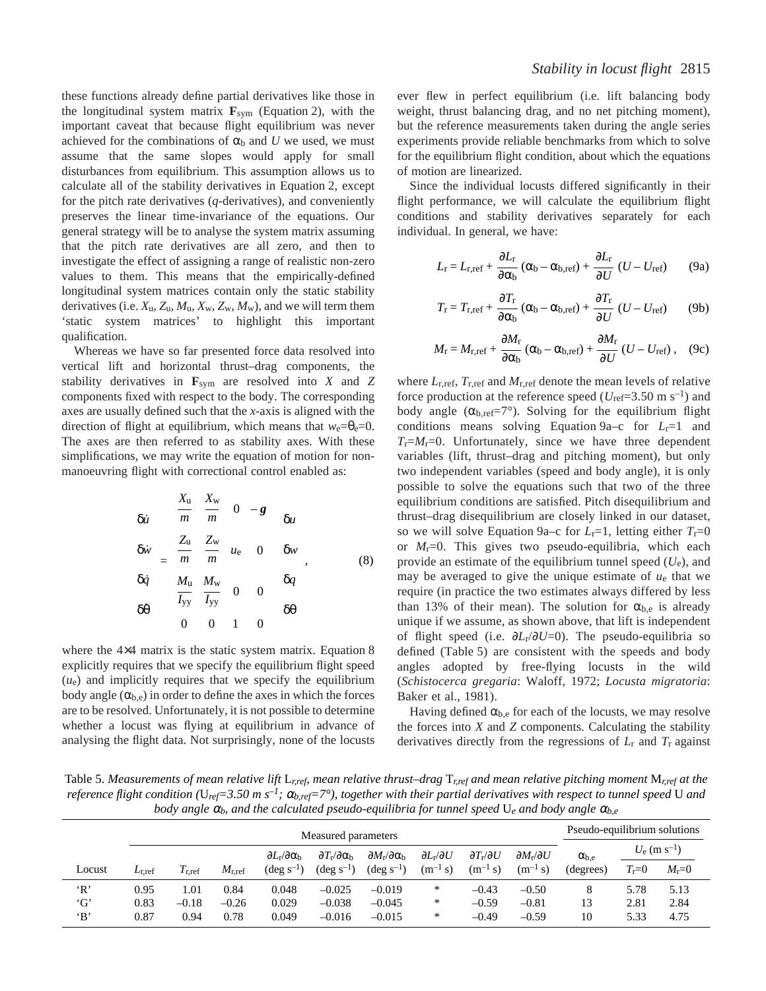these functions already define partial derivatives like those in the longitudinal system matrix  $\mathbf{F}_{sym}$  (Equation 2), with the important caveat that because flight equilibrium was never achieved for the combinations of  $\alpha_b$  and *U* we used, we must assume that the same slopes would apply for small disturbances from equilibrium. This assumption allows us to calculate all of the stability derivatives in Equation 2, except for the pitch rate derivatives (*q-*derivatives), and conveniently preserves the linear time-invariance of the equations. Our general strategy will be to analyse the system matrix assuming that the pitch rate derivatives are all zero, and then to investigate the effect of assigning a range of realistic non-zero values to them. This means that the empirically-defined longitudinal system matrices contain only the static stability derivatives (i.e.  $X_u$ ,  $Z_u$ ,  $M_u$ ,  $X_w$ ,  $Z_w$ ,  $M_w$ ), and we will term them 'static system matrices' to highlight this important qualification.

Whereas we have so far presented force data resolved into vertical lift and horizontal thrust–drag components, the stability derivatives in **F**sym are resolved into *X* and *Z* components fixed with respect to the body. The corresponding axes are usually defined such that the *x*-axis is aligned with the direction of flight at equilibrium, which means that  $w_e = \theta_e = 0$ . The axes are then referred to as stability axes. With these simplifications, we may write the equation of motion for nonmanoeuvring flight with correctional control enabled as:

$$
\begin{bmatrix}\n\delta \dot{u} \\
\delta \dot{w} \\
\delta \dot{w} \\
\delta \dot{q} \\
\delta \dot{\theta}\n\end{bmatrix} = \begin{bmatrix}\n\frac{X_u}{m} & \frac{X_w}{m} & 0 & -g \\
\frac{Z_u}{m} & \frac{Z_w}{m} & u_e & 0 \\
\frac{M_u}{I_{yy}} & \frac{M_w}{I_{yy}} & 0 & 0 \\
0 & 0 & 1 & 0\n\end{bmatrix} \begin{bmatrix}\n\delta u \\
\delta w \\
\delta q \\
\delta \theta\n\end{bmatrix},
$$
\n(8)

where the  $4\times4$  matrix is the static system matrix. Equation 8 explicitly requires that we specify the equilibrium flight speed (*u*e) and implicitly requires that we specify the equilibrium body angle  $(\alpha_{b,e})$  in order to define the axes in which the forces are to be resolved. Unfortunately, it is not possible to determine whether a locust was flying at equilibrium in advance of analysing the flight data. Not surprisingly, none of the locusts ever flew in perfect equilibrium (i.e. lift balancing body weight, thrust balancing drag, and no net pitching moment), but the reference measurements taken during the angle series experiments provide reliable benchmarks from which to solve for the equilibrium flight condition, about which the equations of motion are linearized.

Since the individual locusts differed significantly in their flight performance, we will calculate the equilibrium flight conditions and stability derivatives separately for each individual. In general, we have:

$$
L_{\rm r} = L_{\rm r,ref} + \frac{\partial L_{\rm r}}{\partial \alpha_{\rm b}} \left( \alpha_{\rm b} - \alpha_{\rm b,ref} \right) + \frac{\partial L_{\rm r}}{\partial U} \left( U - U_{\rm ref} \right) \tag{9a}
$$

$$
T_{\rm r} = T_{\rm r,ref} + \frac{\partial T_{\rm r}}{\partial \alpha_{\rm b}} \left( \alpha_{\rm b} - \alpha_{\rm b,ref} \right) + \frac{\partial T_{\rm r}}{\partial U} \left( U - U_{\rm ref} \right) \tag{9b}
$$

$$
M_{\rm r} = M_{\rm r,ref} + \frac{\partial M_{\rm r}}{\partial \alpha_{\rm b}} \left( \alpha_{\rm b} - \alpha_{\rm b,ref} \right) + \frac{\partial M_{\rm r}}{\partial U} \left( U - U_{\rm ref} \right), \quad (9c)
$$

where  $L_{r,ref}$ ,  $T_{r,ref}$  and  $M_{r,ref}$  denote the mean levels of relative force production at the reference speed ( $U_{\text{ref}}$ =3.50 m s<sup>-1</sup>) and body angle  $(\alpha_{b,ref}=7^{\circ})$ . Solving for the equilibrium flight conditions means solving Equation  $9a-c$  for  $L_r=1$  and  $T_r = M_r = 0$ . Unfortunately, since we have three dependent variables (lift, thrust–drag and pitching moment), but only two independent variables (speed and body angle), it is only possible to solve the equations such that two of the three equilibrium conditions are satisfied. Pitch disequilibrium and thrust–drag disequilibrium are closely linked in our dataset, so we will solve Equation 9a–c for  $L_r=1$ , letting either  $T_r=0$ or *M*r=0. This gives two pseudo-equilibria, which each provide an estimate of the equilibrium tunnel speed (*U*e), and may be averaged to give the unique estimate of *u*e that we require (in practice the two estimates always differed by less than 13% of their mean). The solution for  $\alpha_{b,e}$  is already unique if we assume, as shown above, that lift is independent of flight speed (i.e. ∂*L*r/∂*U*=0). The pseudo-equilibria so defined (Table 5) are consistent with the speeds and body angles adopted by free-flying locusts in the wild (*Schistocerca gregaria*: Waloff, 1972; *Locusta migratoria*: Baker et al., 1981).

Having defined  $\alpha_{b,e}$  for each of the locusts, we may resolve the forces into *X* and *Z* components. Calculating the stability derivatives directly from the regressions of *L*r and *T*r against

Table 5. Measurements of mean relative lift  $L_{r,ref}$ , mean relative thrust–drag  $T_{r,ref}$  and mean relative pitching moment  $M_{r,ref}$  at the *reference flight condition (*U*ref=3.50·m·s–1;* α*b,ref=7°), together with their partial derivatives with respect to tunnel speed* U *and body angle* α*b, and the calculated pseudo-equilibria for tunnel speed* U*e and body angle* <sup>α</sup>*b,e*

|         |             |                 |                 |                                              | Measured parameters                          |                                              |                                 |                                 |                                 | Pseudo-equilibrium solutions |                            |                 |
|---------|-------------|-----------------|-----------------|----------------------------------------------|----------------------------------------------|----------------------------------------------|---------------------------------|---------------------------------|---------------------------------|------------------------------|----------------------------|-----------------|
|         |             |                 |                 | $\partial L_{\rm r}/\partial \alpha_{\rm h}$ | $\partial T_{\rm r}/\partial \alpha_{\rm h}$ | $\partial M_{\rm r}/\partial \alpha_{\rm h}$ | $\partial L_{\rm r}/\partial U$ | $\partial T_{\rm r}/\partial U$ | $\partial M_{\rm r}/\partial U$ | $\alpha_{b,e}$               | $U_e$ (m s <sup>-1</sup> ) |                 |
| Locust  | $L_{r,ref}$ | $T_{\rm r,ref}$ | $M_{\rm r,ref}$ | $(\text{deg } s^{-1})$                       | $(\text{deg } s^{-1})$                       | $(\text{deg } s^{-1})$                       | $(m^{-1} s)$                    | $(m^{-1} s)$                    | $(m^{-1} s)$                    | (degrees)                    | $T_r = 0$                  | $M_{\rm r} = 0$ |
| $\lq$ R | 0.95        | l.O1            | 0.84            | 0.048                                        | $-0.025$                                     | $-0.019$                                     | *                               | $-0.43$                         | $-0.50$                         |                              | 5.78                       | 5.13            |
| G       | 0.83        | $-0.18$         | $-0.26$         | 0.029                                        | $-0.038$                                     | $-0.045$                                     | *                               | $-0.59$                         | $-0.81$                         | 13                           | 2.81                       | 2.84            |
| B       | 0.87        | 0.94            | 0.78            | 0.049                                        | $-0.016$                                     | $-0.015$                                     | *                               | $-0.49$                         | $-0.59$                         | 10                           | 5.33                       | 4.75            |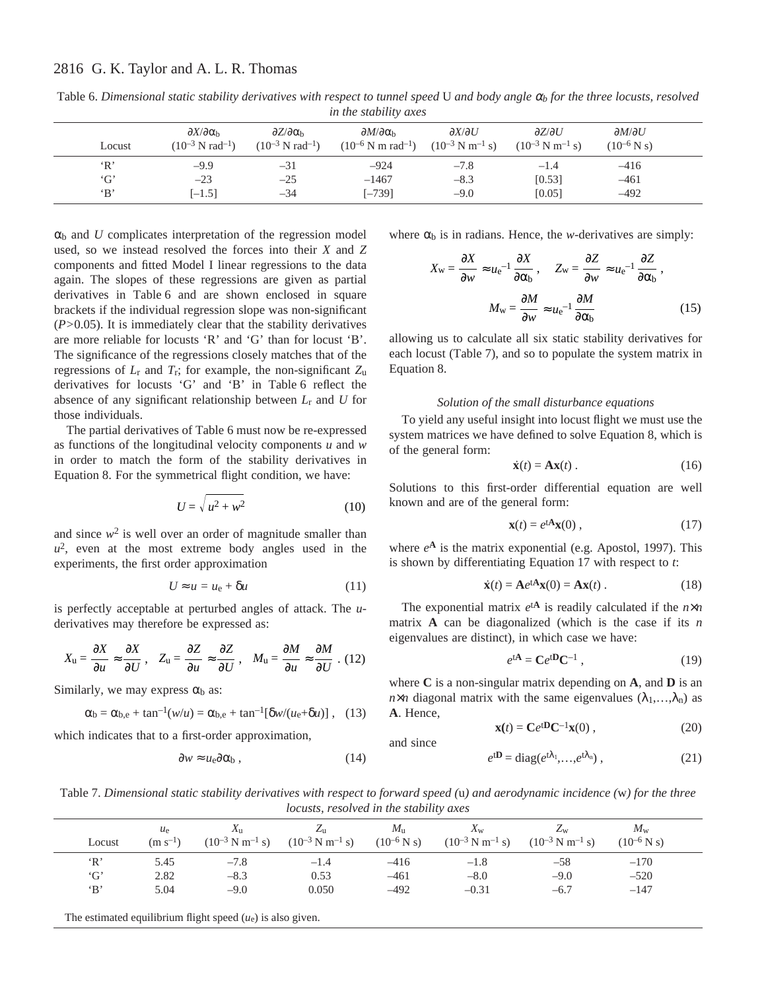|            |                                                                          |                                                                      | <i>the true stablisty ands</i>                                           |                                                                   |                                                     |                                              |  |
|------------|--------------------------------------------------------------------------|----------------------------------------------------------------------|--------------------------------------------------------------------------|-------------------------------------------------------------------|-----------------------------------------------------|----------------------------------------------|--|
| Locust     | $\partial X/\partial \alpha_{\rm h}$<br>$(10^{-3}$ N rad <sup>-1</sup> ) | $\partial Z/\partial \alpha_{h}$<br>$(10^{-3}$ N rad <sup>-1</sup> ) | $\partial M/\partial \alpha_{\rm h}$<br>$(10^{-6} N \text{ m rad}^{-1})$ | $\partial X/\partial U$<br>$(10^{-3} \text{ N m}^{-1} \text{ s})$ | $\partial Z / \partial U$<br>$(10^{-3} N m^{-1} s)$ | $\partial M / \partial U$<br>$(10^{-6} N s)$ |  |
| $\cdot$ R' | $-9.9$                                                                   | $-31$                                                                | $-924$                                                                   | $-7.8$                                                            | $-1.4$                                              | $-416$                                       |  |
| 'G'        | $-23$                                                                    | $-25$                                                                | $-1467$                                                                  | $-8.3$                                                            | [0.53]                                              | $-461$                                       |  |
| B          | $[-1.5]$                                                                 | $-34$                                                                | $[-739]$                                                                 | $-9.0$                                                            | [0.05]                                              | $-492$                                       |  |

Table·6. *Dimensional static stability derivatives with respect to tunnel speed* U *and body angle* <sup>α</sup>*b for the three locusts, resolved in the stability axes*

 $\alpha_b$  and *U* complicates interpretation of the regression model used, so we instead resolved the forces into their *X* and *Z* components and fitted Model I linear regressions to the data again. The slopes of these regressions are given as partial derivatives in Table 6 and are shown enclosed in square brackets if the individual regression slope was non-significant (*P>*0.05). It is immediately clear that the stability derivatives are more reliable for locusts 'R' and 'G' than for locust 'B'. The significance of the regressions closely matches that of the regressions of  $L_r$  and  $T_r$ ; for example, the non-significant  $Z_u$ derivatives for locusts 'G' and 'B' in Table 6 reflect the absence of any significant relationship between *L*r and *U* for those individuals.

The partial derivatives of Table 6 must now be re-expressed as functions of the longitudinal velocity components *u* and *w* in order to match the form of the stability derivatives in Equation 8. For the symmetrical flight condition, we have:

$$
U = \sqrt{u^2 + w^2} \tag{10}
$$

and since  $w^2$  is well over an order of magnitude smaller than  $u^2$ , even at the most extreme body angles used in the experiments, the first order approximation

$$
U \approx u = u_{e} + \delta u \tag{11}
$$

is perfectly acceptable at perturbed angles of attack. The *u*derivatives may therefore be expressed as:

$$
X_{\rm u} = \frac{\partial X}{\partial u} \approx \frac{\partial X}{\partial U}, \quad Z_{\rm u} = \frac{\partial Z}{\partial u} \approx \frac{\partial Z}{\partial U}, \quad M_{\rm u} = \frac{\partial M}{\partial u} \approx \frac{\partial M}{\partial U}. \tag{12}
$$

Similarly, we may express  $\alpha_b$  as:

$$
\alpha_{\rm b} = \alpha_{\rm b,e} + \tan^{-1}(w/u) = \alpha_{\rm b,e} + \tan^{-1}[\delta w/(u_{\rm e} + \delta u)] \ , \quad (13)
$$

which indicates that to a first-order approximation,

$$
\partial w \approx u_{\rm e} \partial \alpha_{\rm b} \,, \tag{14}
$$

where  $\alpha_b$  is in radians. Hence, the *w*-derivatives are simply:

$$
X_{\rm w} = \frac{\partial X}{\partial w} \approx u_{\rm e}^{-1} \frac{\partial X}{\partial \alpha_{\rm b}}, \quad Z_{\rm w} = \frac{\partial Z}{\partial w} \approx u_{\rm e}^{-1} \frac{\partial Z}{\partial \alpha_{\rm b}},
$$

$$
M_{\rm w} = \frac{\partial M}{\partial w} \approx u_{\rm e}^{-1} \frac{\partial M}{\partial \alpha_{\rm b}} \tag{15}
$$

allowing us to calculate all six static stability derivatives for each locust (Table 7), and so to populate the system matrix in Equation 8.

### *Solution of the small disturbance equations*

To yield any useful insight into locust flight we must use the system matrices we have defined to solve Equation 8, which is of the general form:

$$
\dot{\mathbf{x}}(t) = \mathbf{A}\mathbf{x}(t) \tag{16}
$$

Solutions to this first-order differential equation are well known and are of the general form:

$$
\mathbf{x}(t) = e^{t\mathbf{A}}\mathbf{x}(0) ,\qquad (17)
$$

where  $e^{A}$  is the matrix exponential (e.g. Apostol, 1997). This is shown by differentiating Equation 17 with respect to *t*:

$$
\dot{\mathbf{x}}(t) = \mathbf{A}e^{t\mathbf{A}}\mathbf{x}(0) = \mathbf{A}\mathbf{x}(t) .
$$
 (18)

The exponential matrix  $e^{tA}$  is readily calculated if the  $n \times n$ matrix **A** can be diagonalized (which is the case if its *n* eigenvalues are distinct), in which case we have:

$$
e^{tA} = Ce^{tD}C^{-1},\qquad(19)
$$

where **C** is a non-singular matrix depending on **A**, and **D** is an  $n \times n$  diagonal matrix with the same eigenvalues  $(\lambda_1, \ldots, \lambda_n)$  as **A**. Hence,

$$
\mathbf{x}(t) = \mathbf{C}e^{t\mathbf{D}}\mathbf{C}^{-1}\mathbf{x}(0) ,\qquad(20)
$$

$$
e^{t\mathbf{D}} = \text{diag}(e^{t\lambda_1}, \dots, e^{t\lambda_n}), \qquad (21)
$$

Table·7. *Dimensional static stability derivatives with respect to forward speed (*u*) and aerodynamic incidence (*w*) for the three locusts, resolved in the stability axes* 

and since

| Locust  | $u_{e}$<br>$(m s^{-1})$ | $X_{\rm u}$<br>$(10^{-3} \text{ N m}^{-1} \text{ s})$ | $Z_{\rm u}$<br>$(10^{-3} \text{ N m}^{-1} \text{ s})$ | $M_{\rm u}$<br>$(10^{-6} N s)$ | $X_{\rm w}$<br>$(10^{-3} N m^{-1} s)$ | $Z_{\rm w}$<br>$(10^{-3} \text{ N m}^{-1} \text{ s})$ | $M_{\rm w}$<br>$(10^{-6} N s)$ |
|---------|-------------------------|-------------------------------------------------------|-------------------------------------------------------|--------------------------------|---------------------------------------|-------------------------------------------------------|--------------------------------|
| $\lq R$ | 5.45                    | $-7.8$                                                | $-1.4$                                                | $-416$                         | $-1.8$                                | $-58$                                                 | $-170$                         |
| G'      | 2.82                    | $-8.3$                                                | 0.53                                                  | $-461$                         | $-8.0$                                | $-9.0$                                                | $-520$                         |
| B       | 5.04                    | $-9.0$                                                | 0.050                                                 | $-492$                         | $-0.31$                               | $-6.7$                                                | $-147$                         |
|         |                         |                                                       |                                                       |                                |                                       |                                                       |                                |

The estimated equilibrium flight speed  $(u<sub>e</sub>)$  is also given.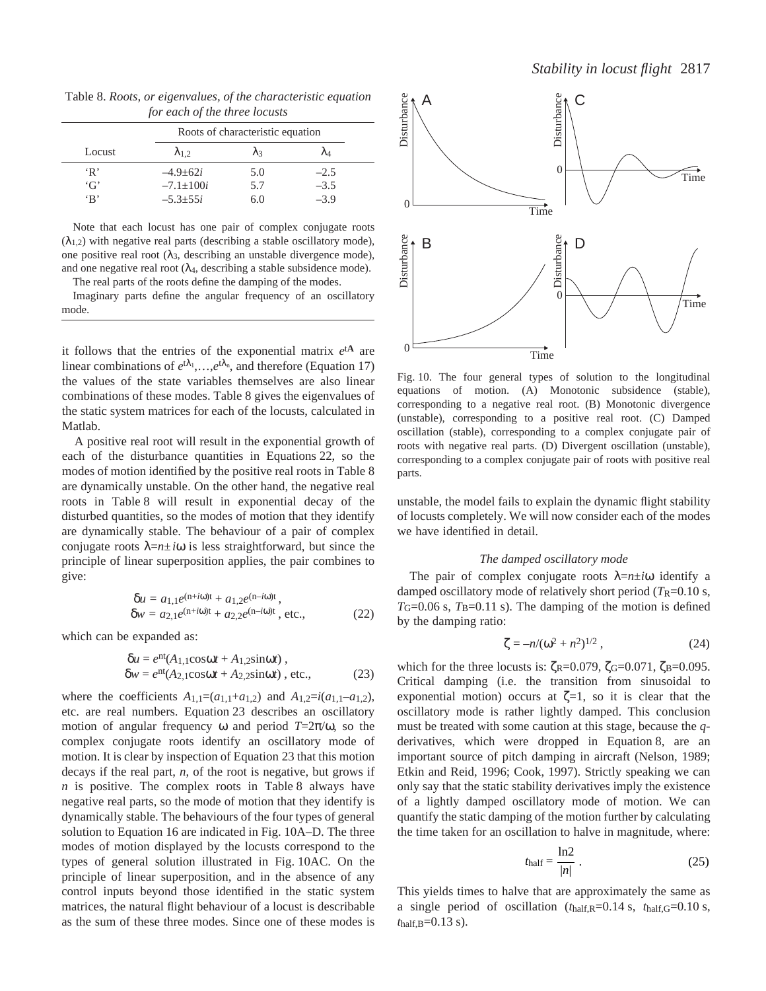Table·8. *Roots, or eigenvalues, of the characteristic equation for each of the three locusts*

|            |                 | Roots of characteristic equation |        |
|------------|-----------------|----------------------------------|--------|
| Locust     | $\lambda_{1.2}$ | λ3                               |        |
| ٠R,        | $-4.9 \pm 62i$  | 5.0                              | $-2.5$ |
| G          | $-7.1 + 100i$   | 5.7                              | $-3.5$ |
| $\cdot$ R' | $-5.3 \pm 55i$  | 6.0                              | $-3.9$ |

Note that each locust has one pair of complex conjugate roots  $(\lambda_{1,2})$  with negative real parts (describing a stable oscillatory mode), one positive real root (λ3, describing an unstable divergence mode), and one negative real root (λ4, describing a stable subsidence mode).

The real parts of the roots define the damping of the modes. Imaginary parts define the angular frequency of an oscillatory

mode.

it follows that the entries of the exponential matrix  $e^{tA}$  are linear combinations of  $e^{t\lambda_1}, \ldots, e^{t\lambda_n}$ , and therefore (Equation 17) the values of the state variables themselves are also linear combinations of these modes. Table 8 gives the eigenvalues of the static system matrices for each of the locusts, calculated in Matlab.

A positive real root will result in the exponential growth of each of the disturbance quantities in Equations 22, so the modes of motion identified by the positive real roots in Table 8 are dynamically unstable. On the other hand, the negative real roots in Table 8 will result in exponential decay of the disturbed quantities, so the modes of motion that they identify are dynamically stable. The behaviour of a pair of complex conjugate roots  $\lambda = n \pm i\omega$  is less straightforward, but since the principle of linear superposition applies, the pair combines to give:

$$
\delta u = a_{1,1}e^{(n+i\omega)t} + a_{1,2}e^{(n-i\omega)t},
$$
  
\n
$$
\delta w = a_{2,1}e^{(n+i\omega)t} + a_{2,2}e^{(n-i\omega)t}, \text{ etc.,}
$$
\n(22)

which can be expanded as:

$$
\delta u = e^{nt}(A_{1,1}\cos\omega t + A_{1,2}\sin\omega t),
$$
  
\n
$$
\delta w = e^{nt}(A_{2,1}\cos\omega t + A_{2,2}\sin\omega t), \text{ etc.,}
$$
 (23)

where the coefficients  $A_{1,1}=(a_{1,1}+a_{1,2})$  and  $A_{1,2}=i(a_{1,1}-a_{1,2}),$ etc. are real numbers. Equation 23 describes an oscillatory motion of angular frequency ω and period *T*=2π/ω, so the complex conjugate roots identify an oscillatory mode of motion. It is clear by inspection of Equation 23 that this motion decays if the real part, *n*, of the root is negative, but grows if  $n$  is positive. The complex roots in Table 8 always have negative real parts, so the mode of motion that they identify is dynamically stable. The behaviours of the four types of general solution to Equation 16 are indicated in Fig. 10A–D. The three modes of motion displayed by the locusts correspond to the types of general solution illustrated in Fig. 10AC. On the principle of linear superposition, and in the absence of any control inputs beyond those identified in the static system matrices, the natural flight behaviour of a locust is describable as the sum of these three modes. Since one of these modes is



Fig. 10. The four general types of solution to the longitudinal equations of motion. (A) Monotonic subsidence (stable), corresponding to a negative real root. (B) Monotonic divergence (unstable), corresponding to a positive real root. (C) Damped oscillation (stable), corresponding to a complex conjugate pair of roots with negative real parts. (D) Divergent oscillation (unstable), corresponding to a complex conjugate pair of roots with positive real parts.

unstable, the model fails to explain the dynamic flight stability of locusts completely. We will now consider each of the modes we have identified in detail.

## *The damped oscillatory mode*

The pair of complex conjugate roots λ=*n*±*i*ω identify a damped oscillatory mode of relatively short period  $(T_{\rm R}=0.10~{\rm s},$  $T$ <sub>G</sub>=0.06 s,  $T$ <sub>B</sub>=0.11 s). The damping of the motion is defined by the damping ratio:

$$
\zeta = -n/(\omega^2 + n^2)^{1/2},\tag{24}
$$

which for the three locusts is:  $\zeta_{\text{R}}=0.079$ ,  $\zeta_{\text{G}}=0.071$ ,  $\zeta_{\text{B}}=0.095$ . Critical damping (i.e. the transition from sinusoidal to exponential motion) occurs at  $\zeta=1$ , so it is clear that the oscillatory mode is rather lightly damped. This conclusion must be treated with some caution at this stage, because the *q*derivatives, which were dropped in Equation 8, are an important source of pitch damping in aircraft (Nelson, 1989; Etkin and Reid, 1996; Cook, 1997). Strictly speaking we can only say that the static stability derivatives imply the existence of a lightly damped oscillatory mode of motion. We can quantify the static damping of the motion further by calculating the time taken for an oscillation to halve in magnitude, where:

$$
t_{\text{half}} = \frac{\ln 2}{|n|} \,. \tag{25}
$$

This yields times to halve that are approximately the same as a single period of oscillation  $(t_{half,R}=0.14 \text{ s}, t_{half,G}=0.10 \text{ s},$  $t_{\text{half,B}} = 0.13$  s).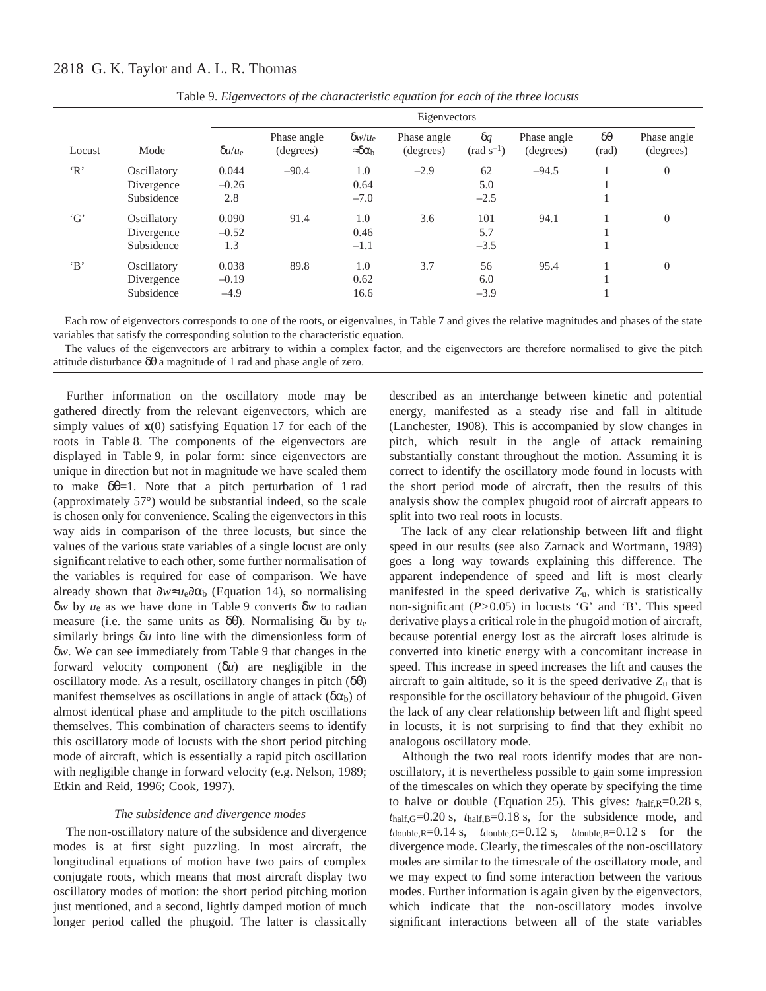|        |             | Eigenvectors   |                          |                                             |                          |                                                      |                          |                                  |                          |  |
|--------|-------------|----------------|--------------------------|---------------------------------------------|--------------------------|------------------------------------------------------|--------------------------|----------------------------------|--------------------------|--|
| Locust | Mode        | $\delta u/u_e$ | Phase angle<br>(degrees) | $\delta w/u_e$<br>$\approx \delta \alpha_b$ | Phase angle<br>(degrees) | $\delta q$<br>$\text{(rad } \mathrm{s}^{-1}\text{)}$ | Phase angle<br>(degrees) | $\delta\theta$<br>$\text{(rad)}$ | Phase angle<br>(degrees) |  |
| R      | Oscillatory | 0.044          | $-90.4$                  | 1.0                                         | $-2.9$                   | 62                                                   | $-94.5$                  |                                  | $\Omega$                 |  |
|        | Divergence  | $-0.26$        |                          | 0.64                                        |                          | 5.0                                                  |                          |                                  |                          |  |
|        | Subsidence  | 2.8            |                          | $-7.0$                                      |                          | $-2.5$                                               |                          |                                  |                          |  |
| G      | Oscillatory | 0.090          | 91.4                     | 1.0                                         | 3.6                      | 101                                                  | 94.1                     |                                  | $\Omega$                 |  |
|        | Divergence  | $-0.52$        |                          | 0.46                                        |                          | 5.7                                                  |                          |                                  |                          |  |
|        | Subsidence  | 1.3            |                          | $-1.1$                                      |                          | $-3.5$                                               |                          |                                  |                          |  |
| B      | Oscillatory | 0.038          | 89.8                     | 1.0                                         | 3.7                      | 56                                                   | 95.4                     |                                  | $\Omega$                 |  |
|        | Divergence  | $-0.19$        |                          | 0.62                                        |                          | 6.0                                                  |                          |                                  |                          |  |
|        | Subsidence  | $-4.9$         |                          | 16.6                                        |                          | $-3.9$                                               |                          |                                  |                          |  |

Table 9. *Eigenvectors of the characteristic equation for each of the three locusts* 

Each row of eigenvectors corresponds to one of the roots, or eigenvalues, in Table 7 and gives the relative magnitudes and phases of the state variables that satisfy the corresponding solution to the characteristic equation.

The values of the eigenvectors are arbitrary to within a complex factor, and the eigenvectors are therefore normalised to give the pitch attitude disturbance  $\delta\theta$  a magnitude of 1 rad and phase angle of zero.

Further information on the oscillatory mode may be gathered directly from the relevant eigenvectors, which are simply values of  $\mathbf{x}(0)$  satisfying Equation 17 for each of the roots in Table 8. The components of the eigenvectors are displayed in Table 9, in polar form: since eigenvectors are unique in direction but not in magnitude we have scaled them to make  $\delta\theta = 1$ . Note that a pitch perturbation of 1 rad (approximately 57°) would be substantial indeed, so the scale is chosen only for convenience. Scaling the eigenvectors in this way aids in comparison of the three locusts, but since the values of the various state variables of a single locust are only significant relative to each other, some further normalisation of the variables is required for ease of comparison. We have already shown that ∂*w*≈*u*e∂αb (Equation 14), so normalising δ*w* by *u*e as we have done in Table·9 converts δ*w* to radian measure (i.e. the same units as δθ). Normalising δ*u* by *u*e similarly brings δ*u* into line with the dimensionless form of δ*w*. We can see immediately from Table·9 that changes in the forward velocity component (δ*u*) are negligible in the oscillatory mode. As a result, oscillatory changes in pitch (δθ) manifest themselves as oscillations in angle of attack  $(\delta \alpha_b)$  of almost identical phase and amplitude to the pitch oscillations themselves. This combination of characters seems to identify this oscillatory mode of locusts with the short period pitching mode of aircraft, which is essentially a rapid pitch oscillation with negligible change in forward velocity (e.g. Nelson, 1989; Etkin and Reid, 1996; Cook, 1997).

### *The subsidence and divergence modes*

The non-oscillatory nature of the subsidence and divergence modes is at first sight puzzling. In most aircraft, the longitudinal equations of motion have two pairs of complex conjugate roots, which means that most aircraft display two oscillatory modes of motion: the short period pitching motion just mentioned, and a second, lightly damped motion of much longer period called the phugoid. The latter is classically described as an interchange between kinetic and potential energy, manifested as a steady rise and fall in altitude (Lanchester, 1908). This is accompanied by slow changes in pitch, which result in the angle of attack remaining substantially constant throughout the motion. Assuming it is correct to identify the oscillatory mode found in locusts with the short period mode of aircraft, then the results of this analysis show the complex phugoid root of aircraft appears to split into two real roots in locusts.

The lack of any clear relationship between lift and flight speed in our results (see also Zarnack and Wortmann, 1989) goes a long way towards explaining this difference. The apparent independence of speed and lift is most clearly manifested in the speed derivative *Z*u, which is statistically non-significant (*P>*0.05) in locusts 'G' and 'B'. This speed derivative plays a critical role in the phugoid motion of aircraft, because potential energy lost as the aircraft loses altitude is converted into kinetic energy with a concomitant increase in speed. This increase in speed increases the lift and causes the aircraft to gain altitude, so it is the speed derivative *Z*u that is responsible for the oscillatory behaviour of the phugoid. Given the lack of any clear relationship between lift and flight speed in locusts, it is not surprising to find that they exhibit no analogous oscillatory mode.

Although the two real roots identify modes that are nonoscillatory, it is nevertheless possible to gain some impression of the timescales on which they operate by specifying the time to halve or double (Equation 25). This gives:  $t_{half, R} = 0.28$  s,  $t_{\text{half.G}} = 0.20$  s,  $t_{\text{half.B}} = 0.18$  s, for the subsidence mode, and  $t_{\text{double},R} = 0.14$  s,  $t_{\text{double},G} = 0.12$  s,  $t_{\text{double},B} = 0.12$  s for the divergence mode. Clearly, the timescales of the non-oscillatory modes are similar to the timescale of the oscillatory mode, and we may expect to find some interaction between the various modes. Further information is again given by the eigenvectors, which indicate that the non-oscillatory modes involve significant interactions between all of the state variables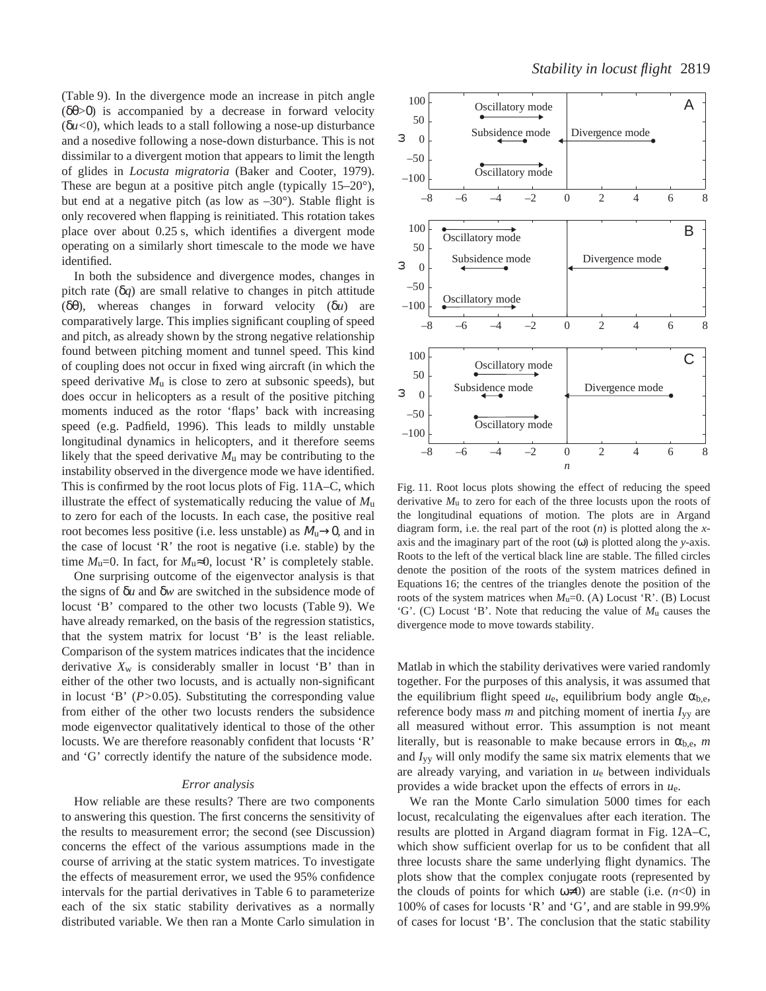(Table 9). In the divergence mode an increase in pitch angle (δθ>0) is accompanied by a decrease in forward velocity (δ*u<*0), which leads to a stall following a nose-up disturbance and a nosedive following a nose-down disturbance. This is not dissimilar to a divergent motion that appears to limit the length of glides in *Locusta migratoria* (Baker and Cooter, 1979). These are begun at a positive pitch angle (typically 15–20°), but end at a negative pitch (as low as  $-30^{\circ}$ ). Stable flight is only recovered when flapping is reinitiated. This rotation takes place over about 0.25 s, which identifies a divergent mode operating on a similarly short timescale to the mode we have identified.

In both the subsidence and divergence modes, changes in pitch rate (δ*q*) are small relative to changes in pitch attitude (δθ), whereas changes in forward velocity (δ*u*) are comparatively large. This implies significant coupling of speed and pitch, as already shown by the strong negative relationship found between pitching moment and tunnel speed. This kind of coupling does not occur in fixed wing aircraft (in which the speed derivative  $M<sub>u</sub>$  is close to zero at subsonic speeds), but does occur in helicopters as a result of the positive pitching moments induced as the rotor 'flaps' back with increasing speed (e.g. Padfield, 1996). This leads to mildly unstable longitudinal dynamics in helicopters, and it therefore seems likely that the speed derivative  $M<sub>u</sub>$  may be contributing to the instability observed in the divergence mode we have identified. This is confirmed by the root locus plots of Fig. 11A–C, which illustrate the effect of systematically reducing the value of *M*u to zero for each of the locusts. In each case, the positive real root becomes less positive (i.e. less unstable) as  $M_u \rightarrow 0$ , and in the case of locust 'R' the root is negative (i.e. stable) by the time  $M_u=0$ . In fact, for  $M_u\approx 0$ , locust 'R' is completely stable.

One surprising outcome of the eigenvector analysis is that the signs of δ*u* and δ*w* are switched in the subsidence mode of locust 'B' compared to the other two locusts (Table 9). We have already remarked, on the basis of the regression statistics, that the system matrix for locust 'B' is the least reliable. Comparison of the system matrices indicates that the incidence derivative  $X_w$  is considerably smaller in locust 'B' than in either of the other two locusts, and is actually non-significant in locust 'B' (*P>*0.05). Substituting the corresponding value from either of the other two locusts renders the subsidence mode eigenvector qualitatively identical to those of the other locusts. We are therefore reasonably confident that locusts 'R' and 'G' correctly identify the nature of the subsidence mode.

### *Error analysis*

How reliable are these results? There are two components to answering this question. The first concerns the sensitivity of the results to measurement error; the second (see Discussion) concerns the effect of the various assumptions made in the course of arriving at the static system matrices. To investigate the effects of measurement error, we used the 95% confidence intervals for the partial derivatives in Table 6 to parameterize each of the six static stability derivatives as a normally distributed variable. We then ran a Monte Carlo simulation in



Fig. 11. Root locus plots showing the effect of reducing the speed derivative  $M<sub>u</sub>$  to zero for each of the three locusts upon the roots of the longitudinal equations of motion. The plots are in Argand diagram form, i.e. the real part of the root (*n*) is plotted along the *x*axis and the imaginary part of the root (ω) is plotted along the *y*-axis. Roots to the left of the vertical black line are stable. The filled circles denote the position of the roots of the system matrices defined in Equations 16; the centres of the triangles denote the position of the roots of the system matrices when  $M_u=0$ . (A) Locust 'R'. (B) Locust 'G'. (C) Locust 'B'. Note that reducing the value of *M*u causes the divergence mode to move towards stability.

Matlab in which the stability derivatives were varied randomly together. For the purposes of this analysis, it was assumed that the equilibrium flight speed  $u_{e}$ , equilibrium body angle  $\alpha_{b,e}$ , reference body mass *m* and pitching moment of inertia *I*yy are all measured without error. This assumption is not meant literally, but is reasonable to make because errors in  $\alpha_{b,e}$ , *m* and *I*yy will only modify the same six matrix elements that we are already varying, and variation in *u*e between individuals provides a wide bracket upon the effects of errors in *u*e.

We ran the Monte Carlo simulation 5000 times for each locust, recalculating the eigenvalues after each iteration. The results are plotted in Argand diagram format in Fig. 12A–C, which show sufficient overlap for us to be confident that all three locusts share the same underlying flight dynamics. The plots show that the complex conjugate roots (represented by the clouds of points for which  $\omega \neq 0$ ) are stable (i.e.  $(n<0)$ ) in 100% of cases for locusts 'R' and 'G', and are stable in 99.9% of cases for locust 'B'. The conclusion that the static stability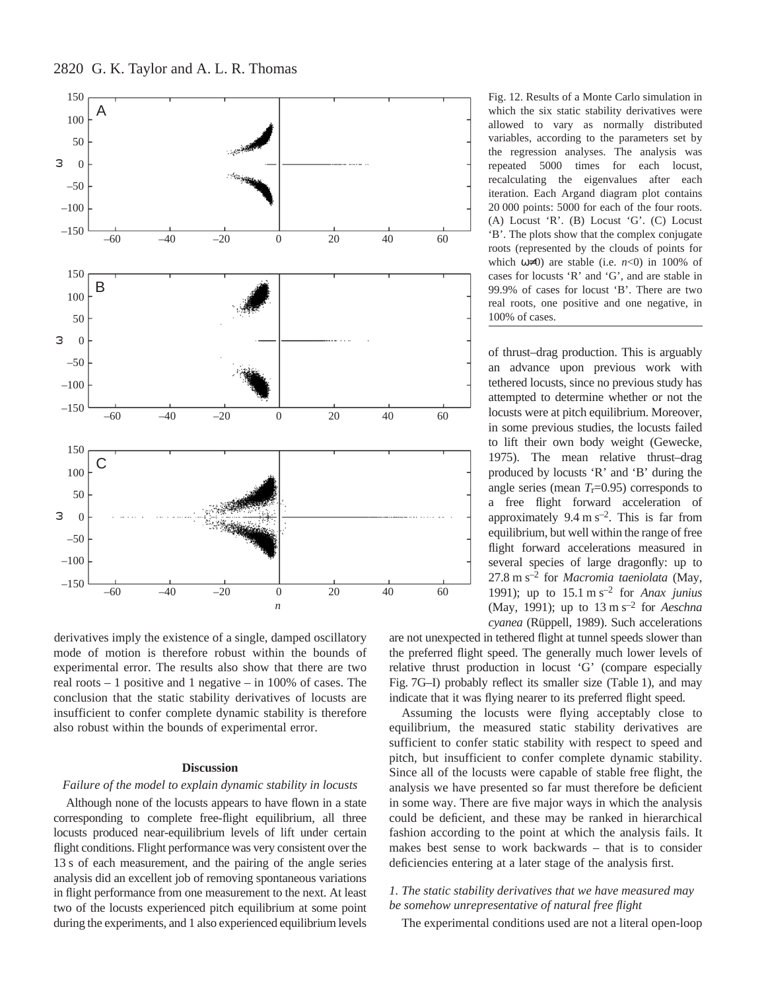

derivatives imply the existence of a single, damped oscillatory mode of motion is therefore robust within the bounds of experimental error. The results also show that there are two real roots – 1 positive and 1 negative – in 100% of cases. The conclusion that the static stability derivatives of locusts are insufficient to confer complete dynamic stability is therefore also robust within the bounds of experimental error.

# **Discussion**

# *Failure of the model to explain dynamic stability in locusts*

Although none of the locusts appears to have flown in a state corresponding to complete free-flight equilibrium, all three locusts produced near-equilibrium levels of lift under certain flight conditions. Flight performance was very consistent over the 13 s of each measurement, and the pairing of the angle series analysis did an excellent job of removing spontaneous variations in flight performance from one measurement to the next. At least two of the locusts experienced pitch equilibrium at some point during the experiments, and 1 also experienced equilibrium levels Fig. 12. Results of a Monte Carlo simulation in which the six static stability derivatives were allowed to vary as normally distributed variables, according to the parameters set by the regression analyses. The analysis was repeated 5000 times for each locust, recalculating the eigenvalues after each iteration. Each Argand diagram plot contains 20·000 points: 5000 for each of the four roots. (A) Locust 'R'. (B) Locust 'G'. (C) Locust 'B'. The plots show that the complex conjugate roots (represented by the clouds of points for which  $\omega \neq 0$ ) are stable (i.e. *n*<0) in 100% of cases for locusts 'R' and 'G', and are stable in 99.9% of cases for locust 'B'. There are two real roots, one positive and one negative, in 100% of cases.

of thrust–drag production. This is arguably an advance upon previous work with tethered locusts, since no previous study has attempted to determine whether or not the locusts were at pitch equilibrium. Moreover, in some previous studies, the locusts failed to lift their own body weight (Gewecke, 1975). The mean relative thrust–drag produced by locusts 'R' and 'B' during the angle series (mean *T*r=0.95) corresponds to a free flight forward acceleration of approximately 9.4 m  $s^{-2}$ . This is far from equilibrium, but well within the range of free flight forward accelerations measured in several species of large dragonfly: up to 27.8·m·s–2 for *Macromia taeniolata* (May, 1991); up to  $15.1 \text{ m s}^{-2}$  for *Anax junius* (May, 1991); up to  $13 \text{ m s}^{-2}$  for *Aeschna cyanea* (Rüppell, 1989). Such accelerations

are not unexpected in tethered flight at tunnel speeds slower than the preferred flight speed. The generally much lower levels of relative thrust production in locust 'G' (compare especially Fig. 7G–I) probably reflect its smaller size (Table 1), and may indicate that it was flying nearer to its preferred flight speed.

Assuming the locusts were flying acceptably close to equilibrium, the measured static stability derivatives are sufficient to confer static stability with respect to speed and pitch, but insufficient to confer complete dynamic stability. Since all of the locusts were capable of stable free flight, the analysis we have presented so far must therefore be deficient in some way. There are five major ways in which the analysis could be deficient, and these may be ranked in hierarchical fashion according to the point at which the analysis fails. It makes best sense to work backwards – that is to consider deficiencies entering at a later stage of the analysis first.

# *1. The static stability derivatives that we have measured may be somehow unrepresentative of natural free flight*

The experimental conditions used are not a literal open-loop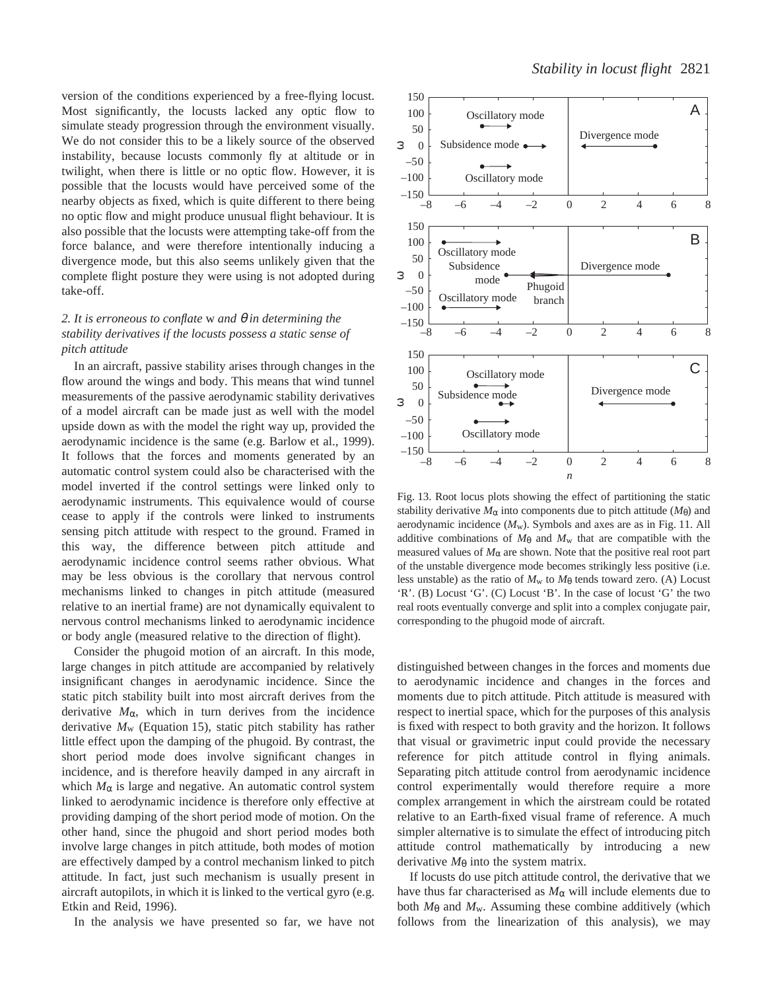version of the conditions experienced by a free-flying locust. Most significantly, the locusts lacked any optic flow to simulate steady progression through the environment visually. We do not consider this to be a likely source of the observed instability, because locusts commonly fly at altitude or in twilight, when there is little or no optic flow. However, it is possible that the locusts would have perceived some of the nearby objects as fixed, which is quite different to there being no optic flow and might produce unusual flight behaviour. It is also possible that the locusts were attempting take-off from the force balance, and were therefore intentionally inducing a divergence mode, but this also seems unlikely given that the complete flight posture they were using is not adopted during take-off.

# *2. It is erroneous to conflate* w *and* θ *in determining the stability derivatives if the locusts possess a static sense of pitch attitude*

In an aircraft, passive stability arises through changes in the flow around the wings and body. This means that wind tunnel measurements of the passive aerodynamic stability derivatives of a model aircraft can be made just as well with the model upside down as with the model the right way up, provided the aerodynamic incidence is the same (e.g. Barlow et al., 1999). It follows that the forces and moments generated by an automatic control system could also be characterised with the model inverted if the control settings were linked only to aerodynamic instruments. This equivalence would of course cease to apply if the controls were linked to instruments sensing pitch attitude with respect to the ground. Framed in this way, the difference between pitch attitude and aerodynamic incidence control seems rather obvious. What may be less obvious is the corollary that nervous control mechanisms linked to changes in pitch attitude (measured relative to an inertial frame) are not dynamically equivalent to nervous control mechanisms linked to aerodynamic incidence or body angle (measured relative to the direction of flight).

Consider the phugoid motion of an aircraft. In this mode, large changes in pitch attitude are accompanied by relatively insignificant changes in aerodynamic incidence. Since the static pitch stability built into most aircraft derives from the derivative  $M_{\alpha}$ , which in turn derives from the incidence derivative  $M_w$  (Equation 15), static pitch stability has rather little effect upon the damping of the phugoid. By contrast, the short period mode does involve significant changes in incidence, and is therefore heavily damped in any aircraft in which  $M_{\alpha}$  is large and negative. An automatic control system linked to aerodynamic incidence is therefore only effective at providing damping of the short period mode of motion. On the other hand, since the phugoid and short period modes both involve large changes in pitch attitude, both modes of motion are effectively damped by a control mechanism linked to pitch attitude. In fact, just such mechanism is usually present in aircraft autopilots, in which it is linked to the vertical gyro (e.g. Etkin and Reid, 1996).

In the analysis we have presented so far, we have not



Fig. 13. Root locus plots showing the effect of partitioning the static stability derivative  $M_{\alpha}$  into components due to pitch attitude ( $M_{\theta}$ ) and aerodynamic incidence  $(M_w)$ . Symbols and axes are as in Fig. 11. All additive combinations of  $M_{\theta}$  and  $M_{\text{w}}$  that are compatible with the measured values of  $M_{\alpha}$  are shown. Note that the positive real root part of the unstable divergence mode becomes strikingly less positive (i.e. less unstable) as the ratio of  $M_w$  to  $M_\theta$  tends toward zero. (A) Locust 'R'. (B) Locust 'G'. (C) Locust 'B'. In the case of locust 'G' the two real roots eventually converge and split into a complex conjugate pair, corresponding to the phugoid mode of aircraft.

distinguished between changes in the forces and moments due to aerodynamic incidence and changes in the forces and moments due to pitch attitude. Pitch attitude is measured with respect to inertial space, which for the purposes of this analysis is fixed with respect to both gravity and the horizon. It follows that visual or gravimetric input could provide the necessary reference for pitch attitude control in flying animals. Separating pitch attitude control from aerodynamic incidence control experimentally would therefore require a more complex arrangement in which the airstream could be rotated relative to an Earth-fixed visual frame of reference. A much simpler alternative is to simulate the effect of introducing pitch attitude control mathematically by introducing a new derivative  $M_{\theta}$  into the system matrix.

If locusts do use pitch attitude control, the derivative that we have thus far characterised as  $M_{\alpha}$  will include elements due to both  $M_{\theta}$  and  $M_{\text{w}}$ . Assuming these combine additively (which follows from the linearization of this analysis), we may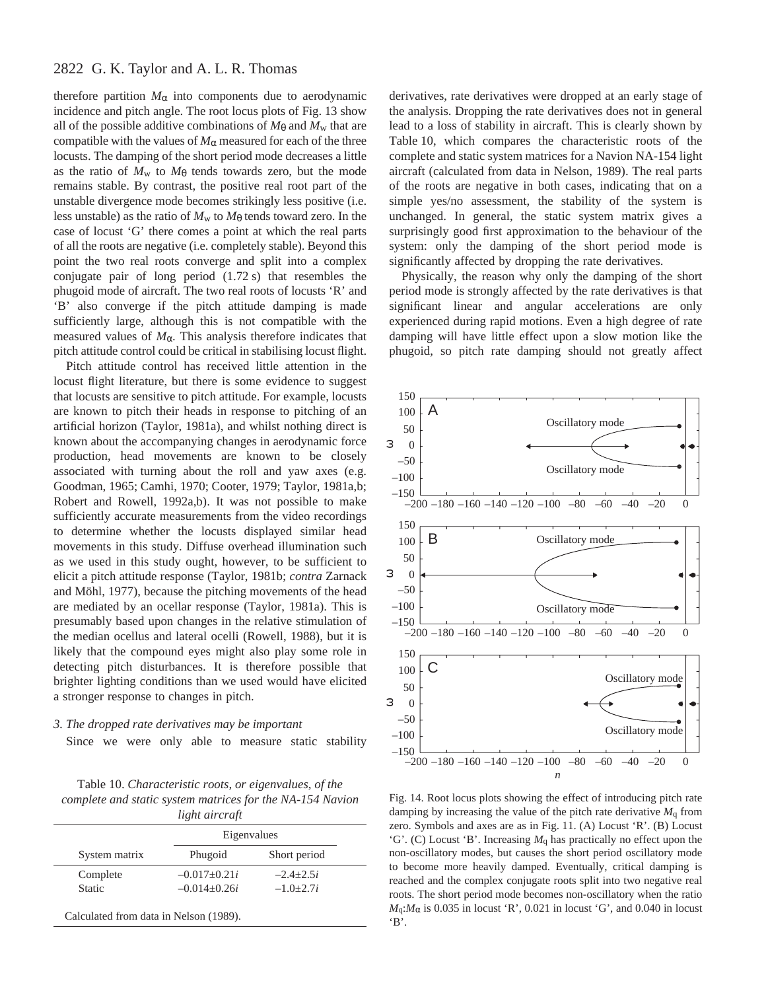therefore partition  $M_{\alpha}$  into components due to aerodynamic incidence and pitch angle. The root locus plots of Fig. 13 show all of the possible additive combinations of  $M_{\theta}$  and  $M_{w}$  that are compatible with the values of  $M_{\alpha}$  measured for each of the three locusts. The damping of the short period mode decreases a little as the ratio of  $M_w$  to  $M_\theta$  tends towards zero, but the mode remains stable. By contrast, the positive real root part of the unstable divergence mode becomes strikingly less positive (i.e. less unstable) as the ratio of  $M_w$  to  $M_\theta$  tends toward zero. In the case of locust 'G' there comes a point at which the real parts of all the roots are negative (i.e. completely stable). Beyond this point the two real roots converge and split into a complex conjugate pair of long period  $(1.72 \text{ s})$  that resembles the phugoid mode of aircraft. The two real roots of locusts 'R' and 'B' also converge if the pitch attitude damping is made sufficiently large, although this is not compatible with the measured values of  $M_{\alpha}$ . This analysis therefore indicates that pitch attitude control could be critical in stabilising locust flight.

Pitch attitude control has received little attention in the locust flight literature, but there is some evidence to suggest that locusts are sensitive to pitch attitude. For example, locusts are known to pitch their heads in response to pitching of an artificial horizon (Taylor, 1981a), and whilst nothing direct is known about the accompanying changes in aerodynamic force production, head movements are known to be closely associated with turning about the roll and yaw axes (e.g. Goodman, 1965; Camhi, 1970; Cooter, 1979; Taylor, 1981a,b; Robert and Rowell, 1992a,b). It was not possible to make sufficiently accurate measurements from the video recordings to determine whether the locusts displayed similar head movements in this study. Diffuse overhead illumination such as we used in this study ought, however, to be sufficient to elicit a pitch attitude response (Taylor, 1981b; *contra* Zarnack and Möhl, 1977), because the pitching movements of the head are mediated by an ocellar response (Taylor, 1981a). This is presumably based upon changes in the relative stimulation of the median ocellus and lateral ocelli (Rowell, 1988), but it is likely that the compound eyes might also play some role in detecting pitch disturbances. It is therefore possible that brighter lighting conditions than we used would have elicited a stronger response to changes in pitch.

# *3. The dropped rate derivatives may be important*

Since we were only able to measure static stability

Table 10. *Characteristic roots, or eigenvalues, of the complete and static system matrices for the NA-154 Navion light aircraft* 

|               | Eigenvalues    |               |
|---------------|----------------|---------------|
| System matrix | Phugoid        | Short period  |
| Complete      | $-0.017+0.21i$ | $-2.4 + 2.5i$ |
| <b>Static</b> | $-0.014+0.26i$ | $-1.0+2.7i$   |

derivatives, rate derivatives were dropped at an early stage of the analysis. Dropping the rate derivatives does not in general lead to a loss of stability in aircraft. This is clearly shown by Table 10, which compares the characteristic roots of the complete and static system matrices for a Navion NA-154 light aircraft (calculated from data in Nelson, 1989). The real parts of the roots are negative in both cases, indicating that on a simple yes/no assessment, the stability of the system is unchanged. In general, the static system matrix gives a surprisingly good first approximation to the behaviour of the system: only the damping of the short period mode is significantly affected by dropping the rate derivatives.

Physically, the reason why only the damping of the short period mode is strongly affected by the rate derivatives is that significant linear and angular accelerations are only experienced during rapid motions. Even a high degree of rate damping will have little effect upon a slow motion like the phugoid, so pitch rate damping should not greatly affect



Fig. 14. Root locus plots showing the effect of introducing pitch rate damping by increasing the value of the pitch rate derivative  $M<sub>q</sub>$  from zero. Symbols and axes are as in Fig. 11. (A) Locust 'R'. (B) Locust 'G'. (C) Locust 'B'. Increasing *M*q has practically no effect upon the non-oscillatory modes, but causes the short period oscillatory mode to become more heavily damped. Eventually, critical damping is reached and the complex conjugate roots split into two negative real roots. The short period mode becomes non-oscillatory when the ratio  $M_q$ : $M_\alpha$  is 0.035 in locust 'R', 0.021 in locust 'G', and 0.040 in locust 'B'.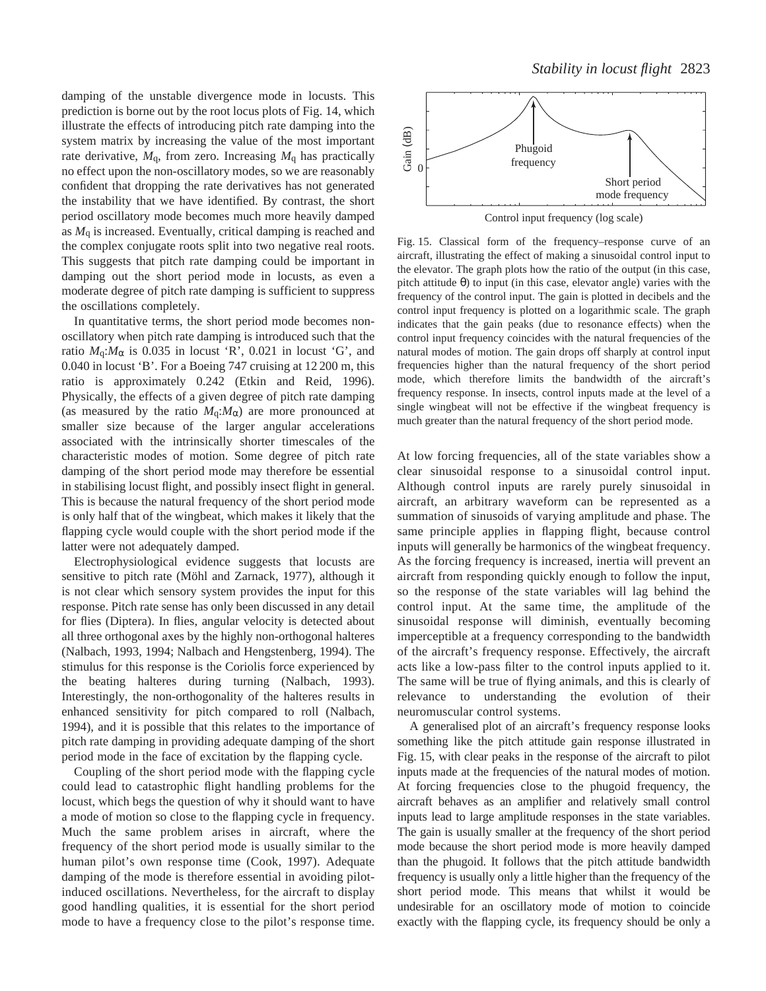damping of the unstable divergence mode in locusts. This prediction is borne out by the root locus plots of Fig. 14, which illustrate the effects of introducing pitch rate damping into the system matrix by increasing the value of the most important rate derivative,  $M<sub>q</sub>$ , from zero. Increasing  $M<sub>q</sub>$  has practically no effect upon the non-oscillatory modes, so we are reasonably confident that dropping the rate derivatives has not generated the instability that we have identified. By contrast, the short period oscillatory mode becomes much more heavily damped as  $M_q$  is increased. Eventually, critical damping is reached and the complex conjugate roots split into two negative real roots. This suggests that pitch rate damping could be important in damping out the short period mode in locusts, as even a moderate degree of pitch rate damping is sufficient to suppress the oscillations completely.

In quantitative terms, the short period mode becomes nonoscillatory when pitch rate damping is introduced such that the ratio  $M_q$ : $M_\alpha$  is 0.035 in locust 'R', 0.021 in locust 'G', and 0.040 in locust 'B'. For a Boeing 747 cruising at 12 200 m, this ratio is approximately 0.242 (Etkin and Reid, 1996). Physically, the effects of a given degree of pitch rate damping (as measured by the ratio  $M_q: M_\alpha$ ) are more pronounced at smaller size because of the larger angular accelerations associated with the intrinsically shorter timescales of the characteristic modes of motion. Some degree of pitch rate damping of the short period mode may therefore be essential in stabilising locust flight, and possibly insect flight in general. This is because the natural frequency of the short period mode is only half that of the wingbeat, which makes it likely that the flapping cycle would couple with the short period mode if the latter were not adequately damped.

Electrophysiological evidence suggests that locusts are sensitive to pitch rate (Möhl and Zarnack, 1977), although it is not clear which sensory system provides the input for this response. Pitch rate sense has only been discussed in any detail for flies (Diptera). In flies, angular velocity is detected about all three orthogonal axes by the highly non-orthogonal halteres (Nalbach, 1993, 1994; Nalbach and Hengstenberg, 1994). The stimulus for this response is the Coriolis force experienced by the beating halteres during turning (Nalbach, 1993). Interestingly, the non-orthogonality of the halteres results in enhanced sensitivity for pitch compared to roll (Nalbach, 1994), and it is possible that this relates to the importance of pitch rate damping in providing adequate damping of the short period mode in the face of excitation by the flapping cycle.

Coupling of the short period mode with the flapping cycle could lead to catastrophic flight handling problems for the locust, which begs the question of why it should want to have a mode of motion so close to the flapping cycle in frequency. Much the same problem arises in aircraft, where the frequency of the short period mode is usually similar to the human pilot's own response time (Cook, 1997). Adequate damping of the mode is therefore essential in avoiding pilotinduced oscillations. Nevertheless, for the aircraft to display good handling qualities, it is essential for the short period mode to have a frequency close to the pilot's response time.



Control input frequency (log scale)

Fig. 15. Classical form of the frequency–response curve of an aircraft, illustrating the effect of making a sinusoidal control input to the elevator. The graph plots how the ratio of the output (in this case, pitch attitude θ) to input (in this case, elevator angle) varies with the frequency of the control input. The gain is plotted in decibels and the control input frequency is plotted on a logarithmic scale. The graph indicates that the gain peaks (due to resonance effects) when the control input frequency coincides with the natural frequencies of the natural modes of motion. The gain drops off sharply at control input frequencies higher than the natural frequency of the short period mode, which therefore limits the bandwidth of the aircraft's frequency response. In insects, control inputs made at the level of a single wingbeat will not be effective if the wingbeat frequency is much greater than the natural frequency of the short period mode.

At low forcing frequencies, all of the state variables show a clear sinusoidal response to a sinusoidal control input. Although control inputs are rarely purely sinusoidal in aircraft, an arbitrary waveform can be represented as a summation of sinusoids of varying amplitude and phase. The same principle applies in flapping flight, because control inputs will generally be harmonics of the wingbeat frequency. As the forcing frequency is increased, inertia will prevent an aircraft from responding quickly enough to follow the input, so the response of the state variables will lag behind the control input. At the same time, the amplitude of the sinusoidal response will diminish, eventually becoming imperceptible at a frequency corresponding to the bandwidth of the aircraft's frequency response. Effectively, the aircraft acts like a low-pass filter to the control inputs applied to it. The same will be true of flying animals, and this is clearly of relevance to understanding the evolution of their neuromuscular control systems. Exact Control input frequency Short period and the frequency and the frequency Control input frequency (log-scale) and the frequency control input frequency (log-scale) and increase curve of an expected in the celusion of

A generalised plot of an aircraft's frequency response looks something like the pitch attitude gain response illustrated in Fig. 15, with clear peaks in the response of the aircraft to pilot inputs made at the frequencies of the natural modes of motion. At forcing frequencies close to the phugoid frequency, the aircraft behaves as an amplifier and relatively small control inputs lead to large amplitude responses in the state variables. The gain is usually smaller at the frequency of the short period mode because the short period mode is more heavily damped than the phugoid. It follows that the pitch attitude bandwidth frequency is usually only a little higher than the frequency of the short period mode. This means that whilst it would be undesirable for an oscillatory mode of motion to coincide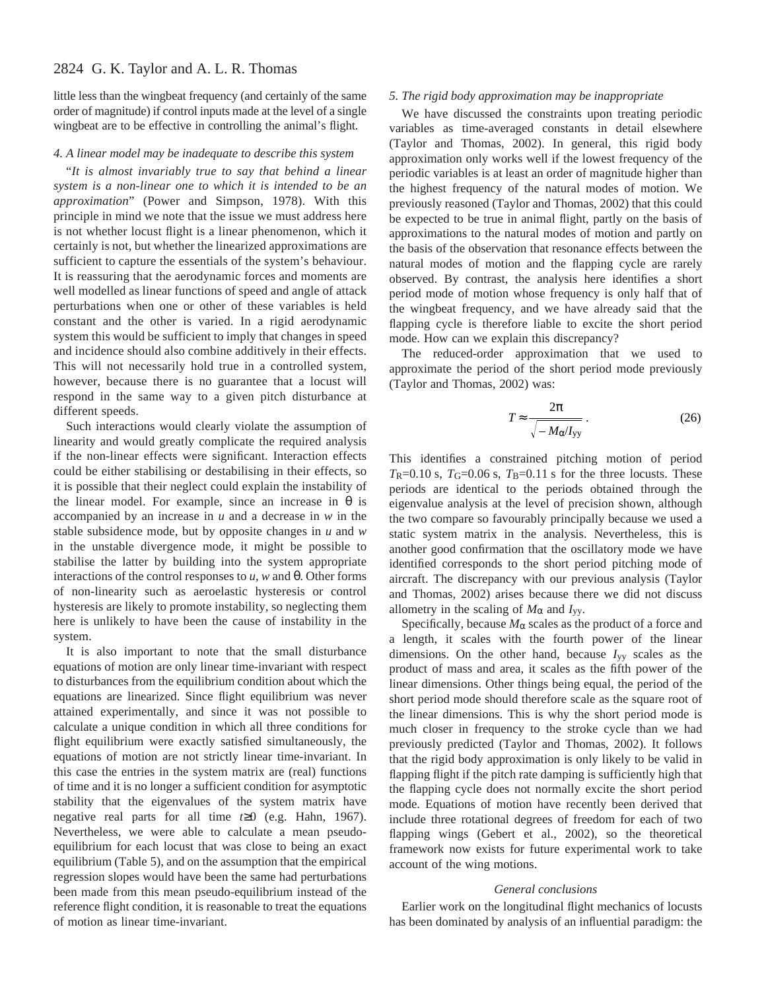little less than the wingbeat frequency (and certainly of the same order of magnitude) if control inputs made at the level of a single wingbeat are to be effective in controlling the animal's flight.

## *4. A linear model may be inadequate to describe this system*

"*It is almost invariably true to say that behind a linear system is a non-linear one to which it is intended to be an approximation*" (Power and Simpson, 1978). With this principle in mind we note that the issue we must address here is not whether locust flight is a linear phenomenon, which it certainly is not, but whether the linearized approximations are sufficient to capture the essentials of the system's behaviour. It is reassuring that the aerodynamic forces and moments are well modelled as linear functions of speed and angle of attack perturbations when one or other of these variables is held constant and the other is varied. In a rigid aerodynamic system this would be sufficient to imply that changes in speed and incidence should also combine additively in their effects. This will not necessarily hold true in a controlled system, however, because there is no guarantee that a locust will respond in the same way to a given pitch disturbance at different speeds.

Such interactions would clearly violate the assumption of linearity and would greatly complicate the required analysis if the non-linear effects were significant. Interaction effects could be either stabilising or destabilising in their effects, so it is possible that their neglect could explain the instability of the linear model. For example, since an increase in  $\theta$  is accompanied by an increase in *u* and a decrease in *w* in the stable subsidence mode, but by opposite changes in *u* and *w* in the unstable divergence mode, it might be possible to stabilise the latter by building into the system appropriate interactions of the control responses to *u*, *w* and θ. Other forms of non-linearity such as aeroelastic hysteresis or control hysteresis are likely to promote instability, so neglecting them here is unlikely to have been the cause of instability in the system.

It is also important to note that the small disturbance equations of motion are only linear time-invariant with respect to disturbances from the equilibrium condition about which the equations are linearized. Since flight equilibrium was never attained experimentally, and since it was not possible to calculate a unique condition in which all three conditions for flight equilibrium were exactly satisfied simultaneously, the equations of motion are not strictly linear time-invariant. In this case the entries in the system matrix are (real) functions of time and it is no longer a sufficient condition for asymptotic stability that the eigenvalues of the system matrix have negative real parts for all time *t*≥0 (e.g. Hahn, 1967). Nevertheless, we were able to calculate a mean pseudoequilibrium for each locust that was close to being an exact equilibrium (Table 5), and on the assumption that the empirical regression slopes would have been the same had perturbations been made from this mean pseudo-equilibrium instead of the reference flight condition, it is reasonable to treat the equations of motion as linear time-invariant.

## *5. The rigid body approximation may be inappropriate*

We have discussed the constraints upon treating periodic variables as time-averaged constants in detail elsewhere (Taylor and Thomas, 2002). In general, this rigid body approximation only works well if the lowest frequency of the periodic variables is at least an order of magnitude higher than the highest frequency of the natural modes of motion. We previously reasoned (Taylor and Thomas, 2002) that this could be expected to be true in animal flight, partly on the basis of approximations to the natural modes of motion and partly on the basis of the observation that resonance effects between the natural modes of motion and the flapping cycle are rarely observed. By contrast, the analysis here identifies a short period mode of motion whose frequency is only half that of the wingbeat frequency, and we have already said that the flapping cycle is therefore liable to excite the short period mode. How can we explain this discrepancy?

The reduced-order approximation that we used to approximate the period of the short period mode previously (Taylor and Thomas, 2002) was:

$$
T \approx \frac{2\pi}{\sqrt{-M\omega/\text{Jyy}}} \,. \tag{26}
$$

This identifies a constrained pitching motion of period  $T_{\text{R}}=0.10$  s,  $T_{\text{G}}=0.06$  s,  $T_{\text{B}}=0.11$  s for the three locusts. These periods are identical to the periods obtained through the eigenvalue analysis at the level of precision shown, although the two compare so favourably principally because we used a static system matrix in the analysis. Nevertheless, this is another good confirmation that the oscillatory mode we have identified corresponds to the short period pitching mode of aircraft. The discrepancy with our previous analysis (Taylor and Thomas, 2002) arises because there we did not discuss allometry in the scaling of  $M_{\alpha}$  and  $I_{yy}$ .

Specifically, because  $M_{\alpha}$  scales as the product of a force and a length, it scales with the fourth power of the linear dimensions. On the other hand, because *I*yy scales as the product of mass and area, it scales as the fifth power of the linear dimensions. Other things being equal, the period of the short period mode should therefore scale as the square root of the linear dimensions. This is why the short period mode is much closer in frequency to the stroke cycle than we had previously predicted (Taylor and Thomas, 2002). It follows that the rigid body approximation is only likely to be valid in flapping flight if the pitch rate damping is sufficiently high that the flapping cycle does not normally excite the short period mode. Equations of motion have recently been derived that include three rotational degrees of freedom for each of two flapping wings (Gebert et al., 2002), so the theoretical framework now exists for future experimental work to take account of the wing motions.

### *General conclusions*

Earlier work on the longitudinal flight mechanics of locusts has been dominated by analysis of an influential paradigm: the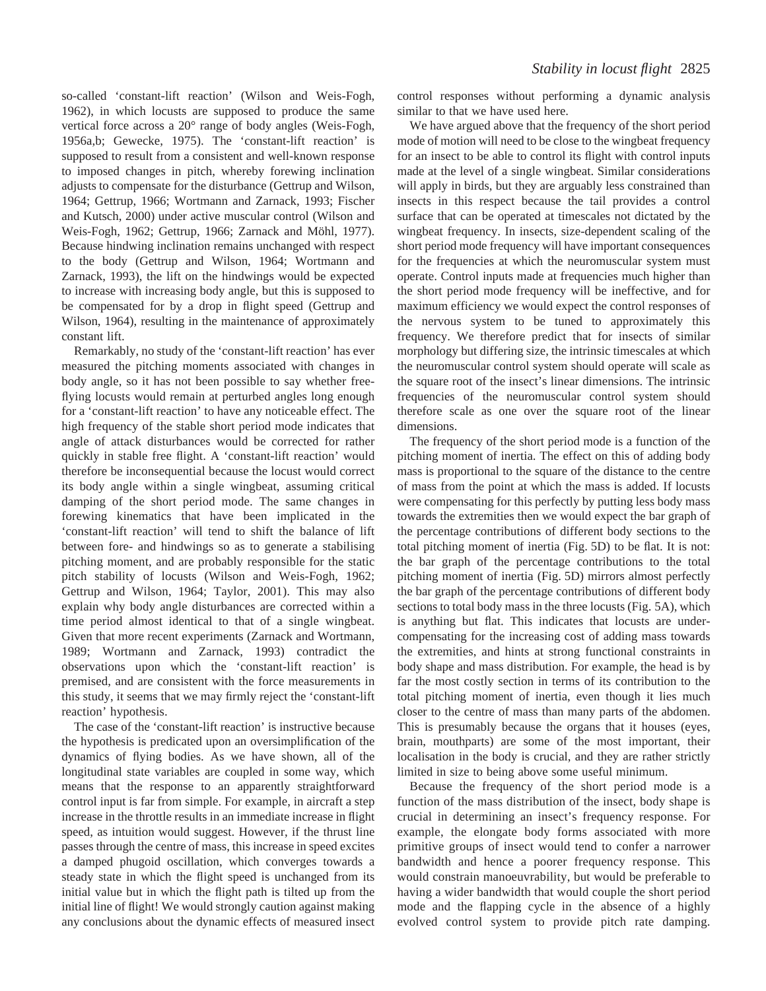1962), in which locusts are supposed to produce the same vertical force across a 20° range of body angles (Weis-Fogh, 1956a,b; Gewecke, 1975). The 'constant-lift reaction' is supposed to result from a consistent and well-known response to imposed changes in pitch, whereby forewing inclination adjusts to compensate for the disturbance (Gettrup and Wilson, 1964; Gettrup, 1966; Wortmann and Zarnack, 1993; Fischer and Kutsch, 2000) under active muscular control (Wilson and Weis-Fogh, 1962; Gettrup, 1966; Zarnack and Möhl, 1977). Because hindwing inclination remains unchanged with respect to the body (Gettrup and Wilson, 1964; Wortmann and Zarnack, 1993), the lift on the hindwings would be expected to increase with increasing body angle, but this is supposed to be compensated for by a drop in flight speed (Gettrup and Wilson, 1964), resulting in the maintenance of approximately constant lift.

Remarkably, no study of the 'constant-lift reaction' has ever measured the pitching moments associated with changes in body angle, so it has not been possible to say whether freeflying locusts would remain at perturbed angles long enough for a 'constant-lift reaction' to have any noticeable effect. The high frequency of the stable short period mode indicates that angle of attack disturbances would be corrected for rather quickly in stable free flight. A 'constant-lift reaction' would therefore be inconsequential because the locust would correct its body angle within a single wingbeat, assuming critical damping of the short period mode. The same changes in forewing kinematics that have been implicated in the 'constant-lift reaction' will tend to shift the balance of lift between fore- and hindwings so as to generate a stabilising pitching moment, and are probably responsible for the static pitch stability of locusts (Wilson and Weis-Fogh, 1962; Gettrup and Wilson, 1964; Taylor, 2001). This may also explain why body angle disturbances are corrected within a time period almost identical to that of a single wingbeat. Given that more recent experiments (Zarnack and Wortmann, 1989; Wortmann and Zarnack, 1993) contradict the observations upon which the 'constant-lift reaction' is premised, and are consistent with the force measurements in this study, it seems that we may firmly reject the 'constant-lift reaction' hypothesis.

The case of the 'constant-lift reaction' is instructive because the hypothesis is predicated upon an oversimplification of the dynamics of flying bodies. As we have shown, all of the longitudinal state variables are coupled in some way, which means that the response to an apparently straightforward control input is far from simple. For example, in aircraft a step increase in the throttle results in an immediate increase in flight speed, as intuition would suggest. However, if the thrust line passes through the centre of mass, this increase in speed excites a damped phugoid oscillation, which converges towards a steady state in which the flight speed is unchanged from its initial value but in which the flight path is tilted up from the initial line of flight! We would strongly caution against making any conclusions about the dynamic effects of measured insect

We have argued above that the frequency of the short period mode of motion will need to be close to the wingbeat frequency for an insect to be able to control its flight with control inputs made at the level of a single wingbeat. Similar considerations will apply in birds, but they are arguably less constrained than insects in this respect because the tail provides a control surface that can be operated at timescales not dictated by the wingbeat frequency. In insects, size-dependent scaling of the short period mode frequency will have important consequences for the frequencies at which the neuromuscular system must operate. Control inputs made at frequencies much higher than the short period mode frequency will be ineffective, and for maximum efficiency we would expect the control responses of the nervous system to be tuned to approximately this frequency. We therefore predict that for insects of similar morphology but differing size, the intrinsic timescales at which the neuromuscular control system should operate will scale as the square root of the insect's linear dimensions. The intrinsic frequencies of the neuromuscular control system should therefore scale as one over the square root of the linear dimensions.

The frequency of the short period mode is a function of the pitching moment of inertia. The effect on this of adding body mass is proportional to the square of the distance to the centre of mass from the point at which the mass is added. If locusts were compensating for this perfectly by putting less body mass towards the extremities then we would expect the bar graph of the percentage contributions of different body sections to the total pitching moment of inertia (Fig. 5D) to be flat. It is not: the bar graph of the percentage contributions to the total pitching moment of inertia (Fig. 5D) mirrors almost perfectly the bar graph of the percentage contributions of different body sections to total body mass in the three locusts (Fig. 5A), which is anything but flat. This indicates that locusts are undercompensating for the increasing cost of adding mass towards the extremities, and hints at strong functional constraints in body shape and mass distribution. For example, the head is by far the most costly section in terms of its contribution to the total pitching moment of inertia, even though it lies much closer to the centre of mass than many parts of the abdomen. This is presumably because the organs that it houses (eyes, brain, mouthparts) are some of the most important, their localisation in the body is crucial, and they are rather strictly limited in size to being above some useful minimum.

Because the frequency of the short period mode is a function of the mass distribution of the insect, body shape is crucial in determining an insect's frequency response. For example, the elongate body forms associated with more primitive groups of insect would tend to confer a narrower bandwidth and hence a poorer frequency response. This would constrain manoeuvrability, but would be preferable to having a wider bandwidth that would couple the short period mode and the flapping cycle in the absence of a highly evolved control system to provide pitch rate damping.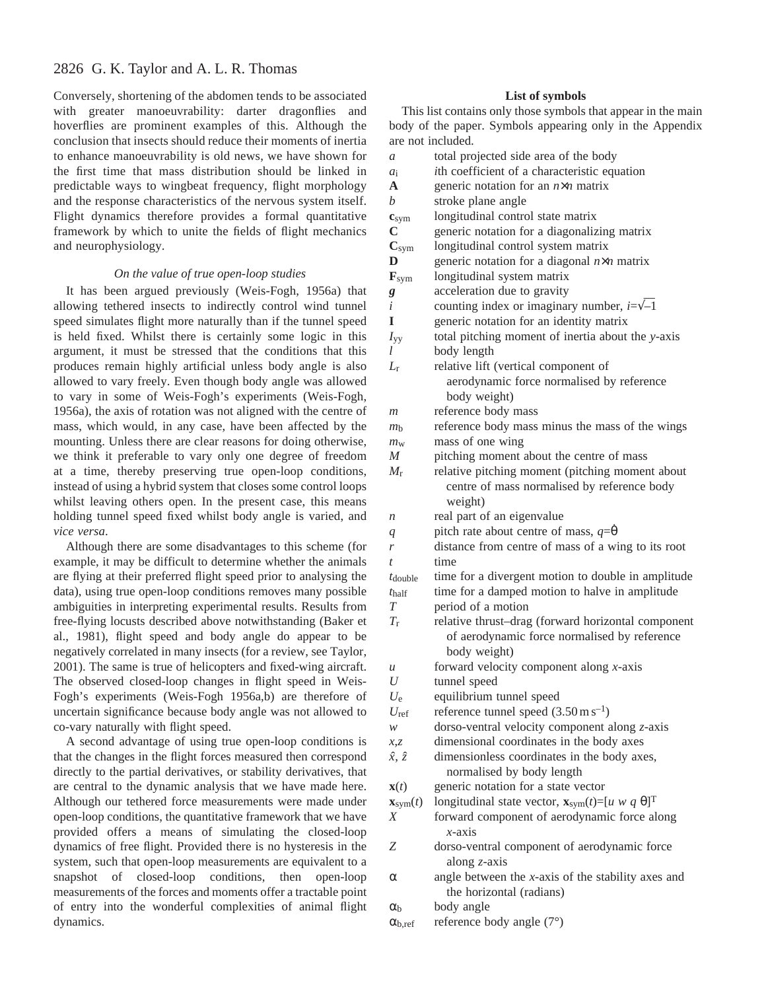Conversely, shortening of the abdomen tends to be associated with greater manoeuvrability: darter dragonflies and hoverflies are prominent examples of this. Although the conclusion that insects should reduce their moments of inertia to enhance manoeuvrability is old news, we have shown for the first time that mass distribution should be linked in predictable ways to wingbeat frequency, flight morphology and the response characteristics of the nervous system itself. Flight dynamics therefore provides a formal quantitative framework by which to unite the fields of flight mechanics and neurophysiology.

# *On the value of true open-loop studies*

It has been argued previously (Weis-Fogh, 1956a) that allowing tethered insects to indirectly control wind tunnel speed simulates flight more naturally than if the tunnel speed is held fixed. Whilst there is certainly some logic in this argument, it must be stressed that the conditions that this produces remain highly artificial unless body angle is also allowed to vary freely. Even though body angle was allowed to vary in some of Weis-Fogh's experiments (Weis-Fogh, 1956a), the axis of rotation was not aligned with the centre of mass, which would, in any case, have been affected by the mounting. Unless there are clear reasons for doing otherwise, we think it preferable to vary only one degree of freedom at a time, thereby preserving true open-loop conditions, instead of using a hybrid system that closes some control loops whilst leaving others open. In the present case, this means holding tunnel speed fixed whilst body angle is varied, and *vice versa*.

Although there are some disadvantages to this scheme (for example, it may be difficult to determine whether the animals are flying at their preferred flight speed prior to analysing the data), using true open-loop conditions removes many possible ambiguities in interpreting experimental results. Results from free-flying locusts described above notwithstanding (Baker et al., 1981), flight speed and body angle do appear to be negatively correlated in many insects (for a review, see Taylor, 2001). The same is true of helicopters and fixed-wing aircraft. The observed closed-loop changes in flight speed in Weis-Fogh's experiments (Weis-Fogh 1956a,b) are therefore of uncertain significance because body angle was not allowed to co-vary naturally with flight speed.

A second advantage of using true open-loop conditions is that the changes in the flight forces measured then correspond directly to the partial derivatives, or stability derivatives, that are central to the dynamic analysis that we have made here. Although our tethered force measurements were made under open-loop conditions, the quantitative framework that we have provided offers a means of simulating the closed-loop dynamics of free flight. Provided there is no hysteresis in the system, such that open-loop measurements are equivalent to a snapshot of closed-loop conditions, then open-loop measurements of the forces and moments offer a tractable point of entry into the wonderful complexities of animal flight dynamics.

# **List of symbols**

This list contains only those symbols that appear in the main body of the paper. Symbols appearing only in the Appendix are not included.

| a                          | total projected side area of the body                                     |
|----------------------------|---------------------------------------------------------------------------|
| $a_i$                      | ith coefficient of a characteristic equation                              |
| A                          | generic notation for an $n \times n$ matrix                               |
| b                          | stroke plane angle                                                        |
| $c_{sym}$                  | longitudinal control state matrix                                         |
| $\mathbf C$                | generic notation for a diagonalizing matrix                               |
| $C_{sym}$                  | longitudinal control system matrix                                        |
| D                          | generic notation for a diagonal $n \times n$ matrix                       |
| $\mathbf{F}_{sym}$         | longitudinal system matrix                                                |
| g                          | acceleration due to gravity                                               |
| $\dot{i}$                  | counting index or imaginary number, $i=\sqrt{-1}$                         |
| I                          | generic notation for an identity matrix                                   |
| $I_{yy}$                   | total pitching moment of inertia about the y-axis                         |
| L                          | body length                                                               |
| $L_{\rm r}$                | relative lift (vertical component of                                      |
|                            | aerodynamic force normalised by reference                                 |
|                            | body weight)                                                              |
| $\boldsymbol{m}$           | reference body mass                                                       |
| m <sub>h</sub>             | reference body mass minus the mass of the wings                           |
| $m_{\rm w}$                | mass of one wing                                                          |
| M                          | pitching moment about the centre of mass                                  |
| $M_{\rm r}$                | relative pitching moment (pitching moment about                           |
|                            | centre of mass normalised by reference body                               |
|                            | weight)                                                                   |
| п                          | real part of an eigenvalue                                                |
| q                          | pitch rate about centre of mass, $q=\dot{\theta}$                         |
| r                          | distance from centre of mass of a wing to its root                        |
| t                          | time                                                                      |
| $t_{\text{double}}$        | time for a divergent motion to double in amplitude                        |
| $t_{\rm half}$             | time for a damped motion to halve in amplitude                            |
| T                          | period of a motion                                                        |
| $T_{\rm r}$                | relative thrust-drag (forward horizontal component                        |
|                            | of aerodynamic force normalised by reference                              |
|                            | body weight)<br>forward velocity component along $x$ -axis                |
| $\mathcal{U}$<br>U         | tunnel speed                                                              |
| $U_{\rm e}$                | equilibrium tunnel speed                                                  |
| $U_{\text{ref}}$           | reference tunnel speed $(3.50 \,\mathrm{m\,s^{-1}})$                      |
|                            | dorso-ventral velocity component along z-axis                             |
| w                          | dimensional coordinates in the body axes                                  |
| x, z<br>$\hat{x}, \hat{z}$ | dimensionless coordinates in the body axes,                               |
|                            | normalised by body length                                                 |
| $\mathbf{x}(t)$            | generic notation for a state vector                                       |
| $\mathbf{x}_{sym}(t)$      | longitudinal state vector, $\mathbf{x}_{sym}(t) = [u \ w \ q \ \theta]^T$ |
| Χ                          | forward component of aerodynamic force along                              |
|                            | $x$ -axis                                                                 |
| Ζ                          | dorso-ventral component of aerodynamic force<br>along $z$ -axis           |
| α                          | angle between the $x$ -axis of the stability axes and                     |
|                            | the horizontal (radians)                                                  |
|                            | body angle                                                                |
| αh                         | reference body angle (7°)                                                 |
| $\alpha_{b,ref}$           |                                                                           |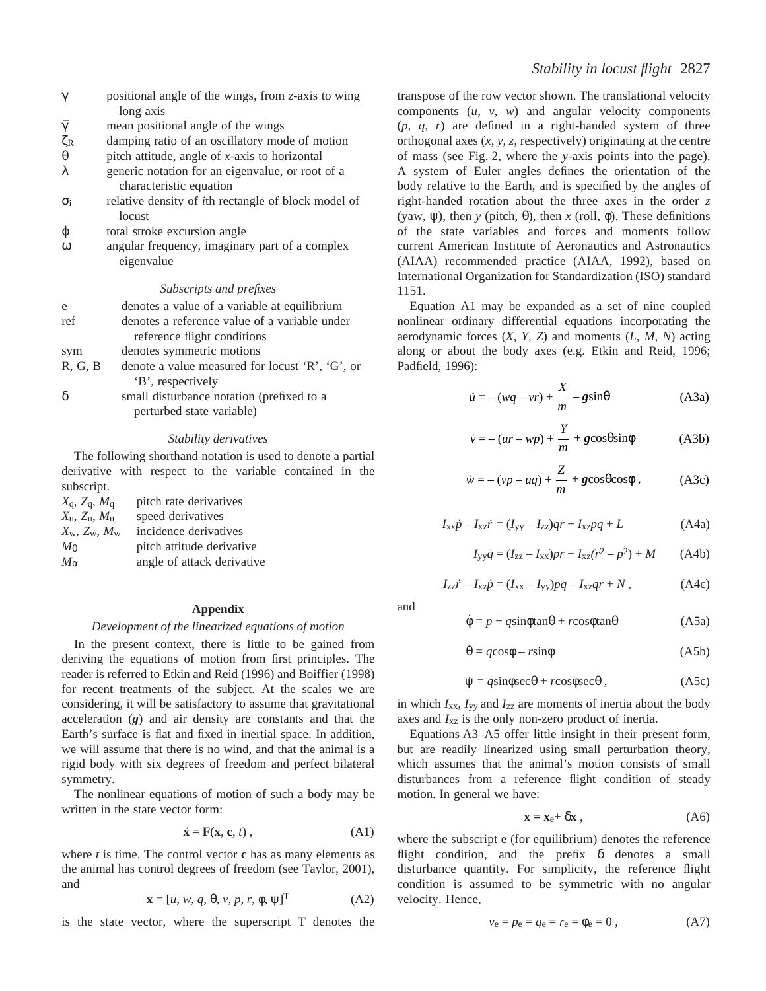| γ              | positional angle of the wings, from $z$ -axis to wing |
|----------------|-------------------------------------------------------|
|                | long axis                                             |
| $\bar{\gamma}$ | mean positional angle of the wings                    |

 $\zeta_R$  damping ratio of an oscillatory mode of motion

θ pitch attitude, angle of *x*-axis to horizontal

 $\lambda$  generic notation for an eigenvalue, or root of a characteristic equation

- σi relative density of *i*th rectangle of block model of locust
- ϕ total stroke excursion angle
- ω angular frequency, imaginary part of a complex eigenvalue

# *Subscripts and prefixes*

| e       | denotes a value of a variable at equilibrium    |
|---------|-------------------------------------------------|
| ref     | denotes a reference value of a variable under   |
|         | reference flight conditions                     |
| sym     | denotes symmetric motions                       |
| R, G, B | denote a value measured for locust 'R', 'G', or |
|         | 'B', respectively                               |
| δ       | small disturbance notation (prefixed to a       |
|         |                                                 |

perturbed state variable)

### *Stability derivatives*

The following shorthand notation is used to denote a partial derivative with respect to the variable contained in the subscript.

| $X_{\mathsf{q}}, Z_{\mathsf{q}}, M_{\mathsf{q}}$   | pitch rate derivatives     |
|----------------------------------------------------|----------------------------|
| $X_{\mathrm{u}},\,Z_{\mathrm{u}},\,M_{\mathrm{u}}$ | speed derivatives          |
| $X_{\rm w}$ , $Z_{\rm w}$ , $M_{\rm w}$            | incidence derivatives      |
| Mθ                                                 | pitch attitude derivative  |
| $M_{\alpha}$                                       | angle of attack derivative |

### **Appendix**

### *Development of the linearized equations of motion*

In the present context, there is little to be gained from deriving the equations of motion from first principles. The reader is referred to Etkin and Reid (1996) and Boiffier (1998) for recent treatments of the subject. At the scales we are considering, it will be satisfactory to assume that gravitational acceleration (*g*) and air density are constants and that the Earth's surface is flat and fixed in inertial space. In addition, we will assume that there is no wind, and that the animal is a rigid body with six degrees of freedom and perfect bilateral symmetry.

The nonlinear equations of motion of such a body may be written in the state vector form:

$$
\dot{\mathbf{x}} = \mathbf{F}(\mathbf{x}, \mathbf{c}, t) , \tag{A1}
$$

where *t* is time. The control vector **c** has as many elements as the animal has control degrees of freedom (see Taylor, 2001), and

$$
\mathbf{x} = [u, w, q, \theta, v, p, r, \phi, \psi]^\mathrm{T}
$$
 (A2)

is the state vector, where the superscript T denotes the

transpose of the row vector shown. The translational velocity components (*u*, *v*, *w*) and angular velocity components (*p*, *q*, *r*) are defined in a right-handed system of three orthogonal axes (*x*, *y*, *z*, respectively) originating at the centre of mass (see Fig. 2, where the *y*-axis points into the page). A system of Euler angles defines the orientation of the body relative to the Earth, and is specified by the angles of right-handed rotation about the three axes in the order *z* (yaw,  $\psi$ ), then *y* (pitch,  $\theta$ ), then *x* (roll,  $\phi$ ). These definitions of the state variables and forces and moments follow current American Institute of Aeronautics and Astronautics (AIAA) recommended practice (AIAA, 1992), based on International Organization for Standardization (ISO) standard 1151.

Equation A1 may be expanded as a set of nine coupled nonlinear ordinary differential equations incorporating the aerodynamic forces (*X*, *Y*, *Z*) and moments (*L*, *M*, *N*) acting along or about the body axes (e.g. Etkin and Reid, 1996; Padfield, 1996):

$$
\dot{u} = -(wq - vr) + \frac{X}{m} - g\sin\theta
$$
 (A3a)

$$
\dot{v} = -(ur - wp) + \frac{Y}{m} + g\cos\theta\sin\phi
$$
 (A3b)

$$
\dot{w} = -\left(vp - uq\right) + \frac{Z}{m} + \mathbf{g}\cos\theta\cos\phi\,,\tag{A3c}
$$

$$
I_{xx}\dot{p} - I_{xz}\dot{r} = (I_{yy} - I_{zz})qr + I_{xz}pq + L
$$
 (A4a)

$$
I_{yy}\dot{q} = (I_{zz} - I_{xx})pr + I_{xz}(r^2 - p^2) + M \tag{A4b}
$$

$$
I_{zz}\dot{r} - I_{xz}\dot{p} = (I_{xx} - I_{yy})pq - I_{xz}qr + N , \qquad (A4c)
$$

and

$$
\dot{\phi} = p + q \sin\phi \tan\theta + r \cos\phi \tan\theta \tag{A5a}
$$

$$
\dot{\theta} = q\cos\phi - r\sin\phi\tag{A5b}
$$

$$
\psi = q \sin \phi \sec \theta + r \cos \phi \sec \theta , \qquad (A5c)
$$

in which *I*xx, *I*yy and *I*zz are moments of inertia about the body axes and *I*xz is the only non-zero product of inertia.

Equations A3–A5 offer little insight in their present form, but are readily linearized using small perturbation theory, which assumes that the animal's motion consists of small disturbances from a reference flight condition of steady motion. In general we have:

$$
\mathbf{x} = \mathbf{x}_{e} + \delta \mathbf{x} \tag{A6}
$$

where the subscript e (for equilibrium) denotes the reference flight condition, and the prefix  $\delta$  denotes a small disturbance quantity. For simplicity, the reference flight condition is assumed to be symmetric with no angular velocity. Hence,

$$
v_e = p_e = q_e = r_e = \phi_e = 0
$$
, (A7)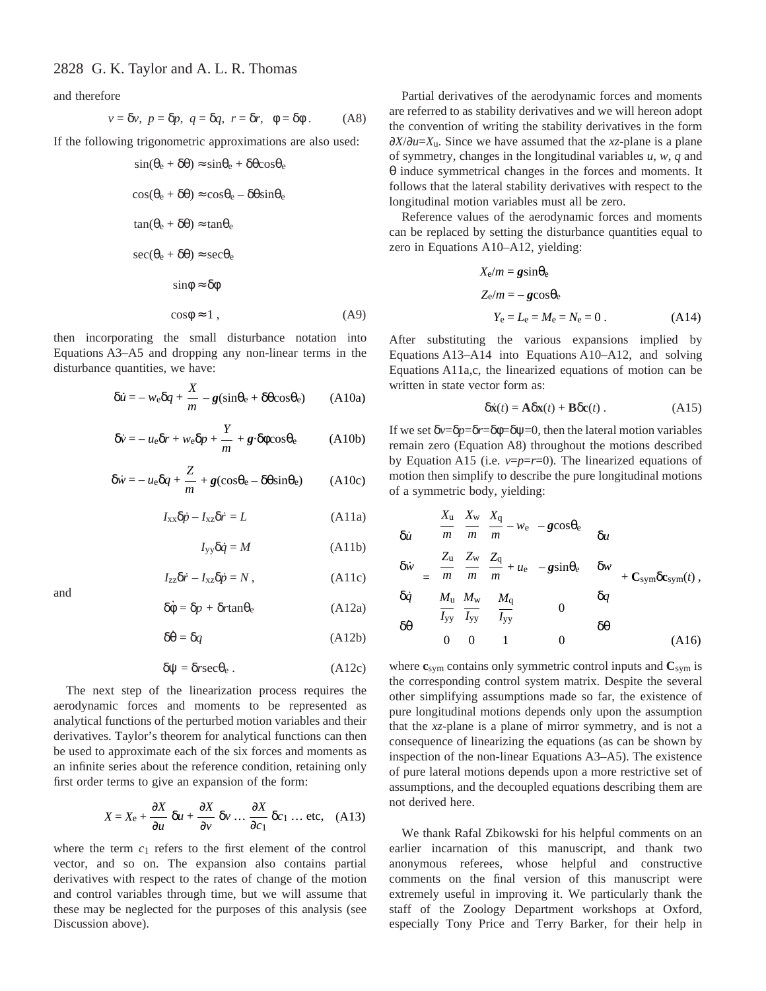and therefore

$$
v = \delta v, \ p = \delta p, \ q = \delta q, \ r = \delta r, \ \ \phi = \delta \phi \ . \tag{A8}
$$

If the following trigonometric approximations are also used:

$$
\sin(\theta_e + \delta\theta) \approx \sin\theta_e + \delta\theta\cos\theta_e
$$
  
\n
$$
\cos(\theta_e + \delta\theta) \approx \cos\theta_e - \delta\theta\sin\theta_e
$$
  
\n
$$
\tan(\theta_e + \delta\theta) \approx \tan\theta_e
$$
  
\n
$$
\sec(\theta_e + \delta\theta) \approx \sec\theta_e
$$
  
\n
$$
\sin\phi \approx \delta\phi
$$
  
\n
$$
\cos\phi \approx 1 , \qquad (A9)
$$

then incorporating the small disturbance notation into Equations  $A3-AS$  and dropping any non-linear terms in the disturbance quantities, we have:

$$
\delta \dot{u} = -w_e \delta q + \frac{X}{m} - g(\sin \theta_e + \delta \theta \cos \theta_e)
$$
 (A10a)

$$
\delta \dot{v} = -u_{e} \delta r + w_{e} \delta p + \frac{Y}{m} + g \cdot \delta \phi \cos \theta_{e}
$$
 (A10b)

$$
\delta \dot{w} = -u_e \delta q + \frac{Z}{m} + g(\cos \theta_e - \delta \theta \sin \theta_e)
$$
 (A10c)

$$
I_{xx}\delta \dot{p} - I_{xz}\delta \dot{r} = L \tag{A11a}
$$

$$
I_{yy}\delta \dot{q} = M \tag{A11b}
$$

$$
I_{zz}\delta \dot{r} - I_{xz}\delta \dot{p} = N , \qquad (A11c)
$$

$$
\delta \dot{\phi} = \delta p + \delta r \tan \theta_e \tag{A12a}
$$

 $\delta \dot{\theta} = \delta q$  (A12b)

$$
\delta \psi = \delta r \sec \theta_e \,. \tag{A12c}
$$

The next step of the linearization process requires the aerodynamic forces and moments to be represented as analytical functions of the perturbed motion variables and their derivatives. Taylor's theorem for analytical functions can then be used to approximate each of the six forces and moments as an infinite series about the reference condition, retaining only first order terms to give an expansion of the form:

$$
X = X_{e} + \frac{\partial X}{\partial u} \, \delta u + \frac{\partial X}{\partial v} \, \delta v \, \dots \, \frac{\partial X}{\partial c_{1}} \, \delta c_{1} \, \dots \, \text{etc}, \quad (A13)
$$

where the term *c*1 refers to the first element of the control vector, and so on. The expansion also contains partial derivatives with respect to the rates of change of the motion and control variables through time, but we will assume that these may be neglected for the purposes of this analysis (see Discussion above).

Partial derivatives of the aerodynamic forces and moments are referred to as stability derivatives and we will hereon adopt the convention of writing the stability derivatives in the form ∂*X*/∂*u*=*X*u. Since we have assumed that the *xz*-plane is a plane of symmetry, changes in the longitudinal variables *u*, *w*, *q* and θ induce symmetrical changes in the forces and moments. It follows that the lateral stability derivatives with respect to the longitudinal motion variables must all be zero.

Reference values of the aerodynamic forces and moments can be replaced by setting the disturbance quantities equal to zero in Equations A10–A12, yielding:

$$
X_{e}/m = g\sin\theta_{e}
$$
  
\n
$$
Z_{e}/m = -g\cos\theta_{e}
$$
  
\n
$$
Y_{e} = L_{e} = M_{e} = N_{e} = 0
$$
 (A14)

After substituting the various expansions implied by Equations A13–A14 into Equations A10–A12, and solving Equations·A11a,c, the linearized equations of motion can be written in state vector form as:

$$
\delta \dot{\mathbf{x}}(t) = \mathbf{A} \delta \mathbf{x}(t) + \mathbf{B} \delta \mathbf{c}(t) \,. \tag{A15}
$$

If we set  $δv=δp=δr=δφ=0$ , then the lateral motion variables remain zero (Equation A8) throughout the motions described by Equation A15 (i.e.  $v=p=r=0$ ). The linearized equations of motion then simplify to describe the pure longitudinal motions of a symmetric body, yielding:

$$
\begin{bmatrix}\n\delta \dot{u} \\
\delta \dot{w} \\
\delta \dot{q} \\
\delta \dot{\theta}\n\end{bmatrix} = \begin{bmatrix}\n\frac{X_u}{m} & \frac{X_u}{m} & \frac{X_q}{m} - w_e & -g\cos\theta_e \\
\frac{Z_u}{m} & \frac{Z_w}{m} & \frac{Z_q}{m} + u_e & -g\sin\theta_e \\
\frac{M_u}{I_{yy}} & \frac{M_u}{I_{yy}} & \frac{M_q}{I_{yy}} & 0 \\
0 & 0 & 1 & 0\n\end{bmatrix} \begin{bmatrix}\n\delta u \\
\delta w \\
\delta q \\
\delta \theta\n\end{bmatrix} + \mathbf{C}_{sym} \delta \mathbf{c}_{sym}(t) ,
$$
\n(A16)

where  $\mathbf{c}_{sym}$  contains only symmetric control inputs and  $\mathbf{C}_{sym}$  is the corresponding control system matrix. Despite the several other simplifying assumptions made so far, the existence of pure longitudinal motions depends only upon the assumption that the *xz*-plane is a plane of mirror symmetry, and is not a consequence of linearizing the equations (as can be shown by inspection of the non-linear Equations  $A3-AS$ ). The existence of pure lateral motions depends upon a more restrictive set of assumptions, and the decoupled equations describing them are not derived here.

We thank Rafal Zbikowski for his helpful comments on an earlier incarnation of this manuscript, and thank two anonymous referees, whose helpful and constructive comments on the final version of this manuscript were extremely useful in improving it. We particularly thank the staff of the Zoology Department workshops at Oxford, especially Tony Price and Terry Barker, for their help in

and